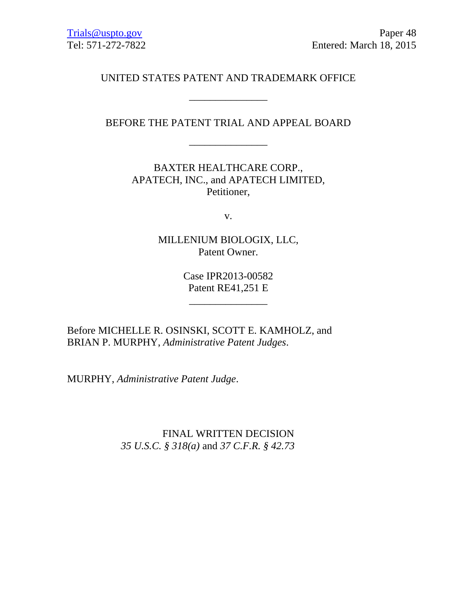UNITED STATES PATENT AND TRADEMARK OFFICE

\_\_\_\_\_\_\_\_\_\_\_\_\_\_\_

BEFORE THE PATENT TRIAL AND APPEAL BOARD

\_\_\_\_\_\_\_\_\_\_\_\_\_\_\_

BAXTER HEALTHCARE CORP., APATECH, INC., and APATECH LIMITED, Petitioner,

v.

MILLENIUM BIOLOGIX, LLC, Patent Owner.

> Case IPR2013-00582 Patent RE41,251 E

> > $\mathcal{L}_\text{max}$  and  $\mathcal{L}_\text{max}$  and  $\mathcal{L}_\text{max}$

Before MICHELLE R. OSINSKI, SCOTT E. KAMHOLZ, and BRIAN P. MURPHY, *Administrative Patent Judges*.

MURPHY, *Administrative Patent Judge*.

FINAL WRITTEN DECISION *35 U.S.C. § 318(a)* and *37 C.F.R. § 42.73*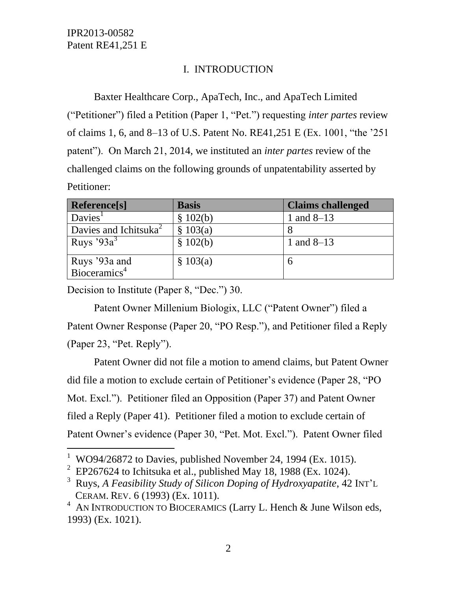# I. INTRODUCTION

Baxter Healthcare Corp., ApaTech, Inc., and ApaTech Limited ("Petitioner") filed a Petition (Paper 1, "Pet.") requesting *inter partes* review of claims 1, 6, and 8–13 of U.S. Patent No. RE41,251 E (Ex. 1001, "the '251 patent"). On March 21, 2014, we instituted an *inter partes* review of the challenged claims on the following grounds of unpatentability asserted by Petitioner:

| <b>Reference</b> [s]              | <b>Basis</b> | <b>Claims challenged</b> |
|-----------------------------------|--------------|--------------------------|
| Davies <sup>1</sup>               | \$102(b)     | 1 and $8-13$             |
| Davies and Ichitsuka <sup>2</sup> | \$103(a)     |                          |
| Ruys '93 $a^3$                    | \$102(b)     | 1 and $8-13$             |
| Ruys '93a and                     | \$103(a)     |                          |
| Bioceramics <sup>4</sup>          |              |                          |

Decision to Institute (Paper 8, "Dec.") 30.

 $\overline{a}$ 

Patent Owner Millenium Biologix, LLC ("Patent Owner") filed a Patent Owner Response (Paper 20, "PO Resp."), and Petitioner filed a Reply (Paper 23, "Pet. Reply").

Patent Owner did not file a motion to amend claims, but Patent Owner did file a motion to exclude certain of Petitioner's evidence (Paper 28, "PO Mot. Excl."). Petitioner filed an Opposition (Paper 37) and Patent Owner filed a Reply (Paper 41). Petitioner filed a motion to exclude certain of Patent Owner's evidence (Paper 30, "Pet. Mot. Excl."). Patent Owner filed

<sup>&</sup>lt;sup>1</sup> WO94/26872 to Davies, published November 24, 1994 (Ex. 1015).

<sup>&</sup>lt;sup>2</sup> EP267624 to Ichitsuka et al., published May 18, 1988 (Ex. 1024).

<sup>3</sup> Ruys, *A Feasibility Study of Silicon Doping of Hydroxyapatite*, 42 INT'<sup>L</sup> CERAM. REV. 6 (1993) (Ex. 1011).

 $4$  AN INTRODUCTION TO BIOCERAMICS (Larry L. Hench & June Wilson eds, 1993) (Ex. 1021).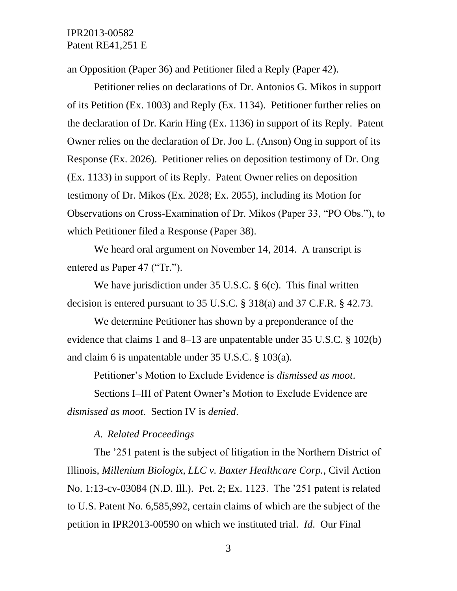an Opposition (Paper 36) and Petitioner filed a Reply (Paper 42).

Petitioner relies on declarations of Dr. Antonios G. Mikos in support of its Petition (Ex. 1003) and Reply (Ex. 1134). Petitioner further relies on the declaration of Dr. Karin Hing (Ex. 1136) in support of its Reply. Patent Owner relies on the declaration of Dr. Joo L. (Anson) Ong in support of its Response (Ex. 2026). Petitioner relies on deposition testimony of Dr. Ong (Ex. 1133) in support of its Reply. Patent Owner relies on deposition testimony of Dr. Mikos (Ex. 2028; Ex. 2055), including its Motion for Observations on Cross-Examination of Dr. Mikos (Paper 33, "PO Obs."), to which Petitioner filed a Response (Paper 38).

We heard oral argument on November 14, 2014. A transcript is entered as Paper 47 ("Tr.").

We have jurisdiction under 35 U.S.C. § 6(c). This final written decision is entered pursuant to 35 U.S.C. § 318(a) and 37 C.F.R. § 42.73.

We determine Petitioner has shown by a preponderance of the evidence that claims 1 and 8–13 are unpatentable under 35 U.S.C. § 102(b) and claim 6 is unpatentable under 35 U.S.C. § 103(a).

Petitioner's Motion to Exclude Evidence is *dismissed as moot*.

Sections I–III of Patent Owner's Motion to Exclude Evidence are *dismissed as moot*. Section IV is *denied*.

### *A. Related Proceedings*

The '251 patent is the subject of litigation in the Northern District of Illinois, *Millenium Biologix, LLC v. Baxter Healthcare Corp.*, Civil Action No. 1:13-cv-03084 (N.D. Ill.). Pet. 2; Ex. 1123. The '251 patent is related to U.S. Patent No. 6,585,992, certain claims of which are the subject of the petition in IPR2013-00590 on which we instituted trial. *Id*. Our Final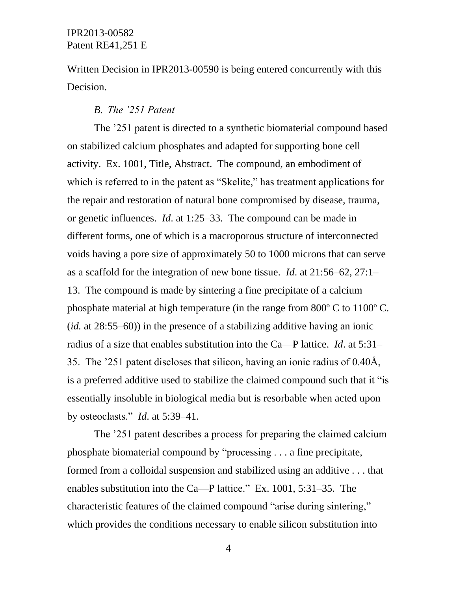Written Decision in IPR2013-00590 is being entered concurrently with this Decision.

### *B. The '251 Patent*

The '251 patent is directed to a synthetic biomaterial compound based on stabilized calcium phosphates and adapted for supporting bone cell activity. Ex. 1001, Title, Abstract. The compound, an embodiment of which is referred to in the patent as "Skelite," has treatment applications for the repair and restoration of natural bone compromised by disease, trauma, or genetic influences. *Id*. at 1:25–33. The compound can be made in different forms, one of which is a macroporous structure of interconnected voids having a pore size of approximately 50 to 1000 microns that can serve as a scaffold for the integration of new bone tissue. *Id*. at 21:56–62, 27:1– 13. The compound is made by sintering a fine precipitate of a calcium phosphate material at high temperature (in the range from 800º C to 1100º C. (*id.* at 28:55–60)) in the presence of a stabilizing additive having an ionic radius of a size that enables substitution into the Ca—P lattice. *Id*. at 5:31– 35. The '251 patent discloses that silicon, having an ionic radius of 0.40Å, is a preferred additive used to stabilize the claimed compound such that it "is essentially insoluble in biological media but is resorbable when acted upon by osteoclasts." *Id*. at 5:39–41.

The '251 patent describes a process for preparing the claimed calcium phosphate biomaterial compound by "processing . . . a fine precipitate, formed from a colloidal suspension and stabilized using an additive . . . that enables substitution into the Ca—P lattice." Ex. 1001, 5:31–35. The characteristic features of the claimed compound "arise during sintering," which provides the conditions necessary to enable silicon substitution into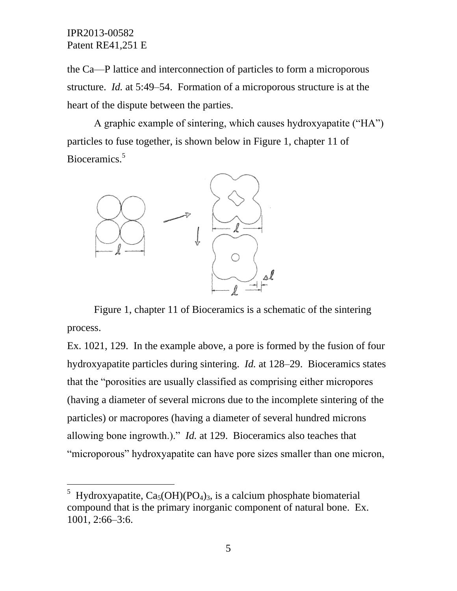l

the Ca—P lattice and interconnection of particles to form a microporous structure. *Id.* at 5:49–54. Formation of a microporous structure is at the heart of the dispute between the parties.

A graphic example of sintering, which causes hydroxyapatite ("HA") particles to fuse together, is shown below in Figure 1, chapter 11 of Bioceramics.<sup>5</sup>



Figure 1, chapter 11 of Bioceramics is a schematic of the sintering process.

Ex. 1021, 129. In the example above, a pore is formed by the fusion of four hydroxyapatite particles during sintering. *Id.* at 128–29. Bioceramics states that the "porosities are usually classified as comprising either micropores (having a diameter of several microns due to the incomplete sintering of the particles) or macropores (having a diameter of several hundred microns allowing bone ingrowth.)." *Id.* at 129. Bioceramics also teaches that "microporous" hydroxyapatite can have pore sizes smaller than one micron,

<sup>&</sup>lt;sup>5</sup> Hydroxyapatite, Ca<sub>5</sub>(OH)(PO<sub>4</sub>)<sub>3</sub>, is a calcium phosphate biomaterial compound that is the primary inorganic component of natural bone. Ex. 1001, 2:66–3:6.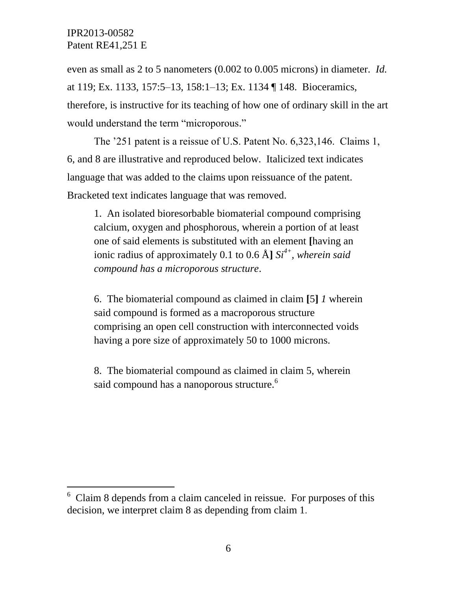l

even as small as 2 to 5 nanometers (0.002 to 0.005 microns) in diameter. *Id.*  at 119; Ex. 1133, 157:5–13, 158:1–13; Ex. 1134 ¶ 148. Bioceramics, therefore, is instructive for its teaching of how one of ordinary skill in the art would understand the term "microporous."

The '251 patent is a reissue of U.S. Patent No. 6,323,146. Claims 1, 6, and 8 are illustrative and reproduced below. Italicized text indicates language that was added to the claims upon reissuance of the patent. Bracketed text indicates language that was removed.

1. An isolated bioresorbable biomaterial compound comprising calcium, oxygen and phosphorous, wherein a portion of at least one of said elements is substituted with an element **[**having an ionic radius of approximately 0.1 to 0.6 Å**]** *Si4+, wherein said compound has a microporous structure*.

6. The biomaterial compound as claimed in claim **[**5**]** *1* wherein said compound is formed as a macroporous structure comprising an open cell construction with interconnected voids having a pore size of approximately 50 to 1000 microns.

8. The biomaterial compound as claimed in claim 5, wherein said compound has a nanoporous structure.<sup>6</sup>

 $6$  Claim 8 depends from a claim canceled in reissue. For purposes of this decision, we interpret claim 8 as depending from claim 1.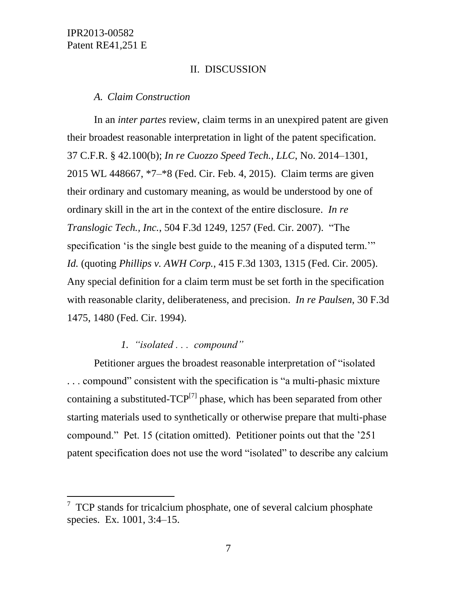l

### II. DISCUSSION

*A. Claim Construction*

In an *inter partes* review, claim terms in an unexpired patent are given their broadest reasonable interpretation in light of the patent specification. 37 C.F.R. § 42.100(b); *In re Cuozzo Speed Tech., LLC*, No. 2014–1301, 2015 WL 448667, \*7–\*8 (Fed. Cir. Feb. 4, 2015). Claim terms are given their ordinary and customary meaning, as would be understood by one of ordinary skill in the art in the context of the entire disclosure. *In re Translogic Tech., Inc.*, 504 F.3d 1249, 1257 (Fed. Cir. 2007). "The specification 'is the single best guide to the meaning of a disputed term." *Id.* (quoting *Phillips v. AWH Corp.*, 415 F.3d 1303, 1315 (Fed. Cir. 2005). Any special definition for a claim term must be set forth in the specification with reasonable clarity, deliberateness, and precision. *In re Paulsen*, 30 F.3d 1475, 1480 (Fed. Cir. 1994).

## *1. "isolated . . . compound"*

Petitioner argues the broadest reasonable interpretation of "isolated . . . compound" consistent with the specification is "a multi-phasic mixture containing a substituted-TCP $^{[7]}$  phase, which has been separated from other starting materials used to synthetically or otherwise prepare that multi-phase compound." Pet. 15 (citation omitted). Petitioner points out that the '251 patent specification does not use the word "isolated" to describe any calcium

 $7$  TCP stands for tricalcium phosphate, one of several calcium phosphate species. Ex. 1001, 3:4–15.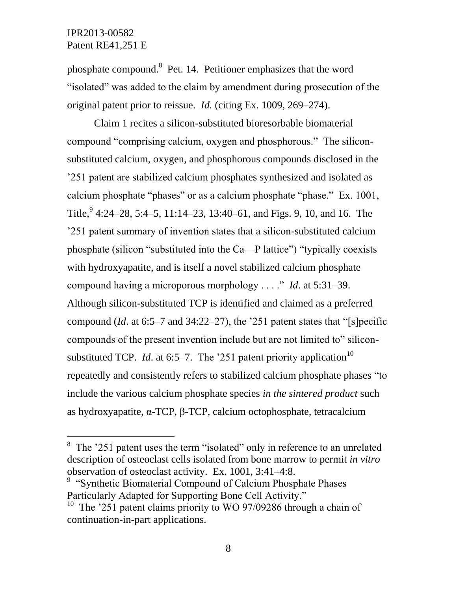$\overline{a}$ 

phosphate compound.<sup>8</sup> Pet. 14. Petitioner emphasizes that the word "isolated" was added to the claim by amendment during prosecution of the original patent prior to reissue. *Id.* (citing Ex. 1009, 269–274).

Claim 1 recites a silicon-substituted bioresorbable biomaterial compound "comprising calcium, oxygen and phosphorous." The siliconsubstituted calcium, oxygen, and phosphorous compounds disclosed in the '251 patent are stabilized calcium phosphates synthesized and isolated as calcium phosphate "phases" or as a calcium phosphate "phase." Ex. 1001, Title,  $9$  4:24–28, 5:4–5, 11:14–23, 13:40–61, and Figs. 9, 10, and 16. The '251 patent summary of invention states that a silicon-substituted calcium phosphate (silicon "substituted into the Ca—P lattice") "typically coexists with hydroxyapatite, and is itself a novel stabilized calcium phosphate compound having a microporous morphology . . . ." *Id*. at 5:31–39. Although silicon-substituted TCP is identified and claimed as a preferred compound (*Id*. at 6:5–7 and 34:22–27), the '251 patent states that "[s]pecific compounds of the present invention include but are not limited to" siliconsubstituted TCP. *Id.* at 6:5–7. The '251 patent priority application<sup>10</sup> repeatedly and consistently refers to stabilized calcium phosphate phases "to include the various calcium phosphate species *in the sintered product* such as hydroxyapatite, α-TCP, β-TCP, calcium octophosphate, tetracalcium

<sup>&</sup>lt;sup>8</sup> The '251 patent uses the term "isolated" only in reference to an unrelated description of osteoclast cells isolated from bone marrow to permit *in vitro* observation of osteoclast activity. Ex. 1001, 3:41–4:8.

<sup>&</sup>lt;sup>9</sup> "Synthetic Biomaterial Compound of Calcium Phosphate Phases Particularly Adapted for Supporting Bone Cell Activity."

<sup>&</sup>lt;sup>10</sup> The '251 patent claims priority to WO 97/09286 through a chain of continuation-in-part applications.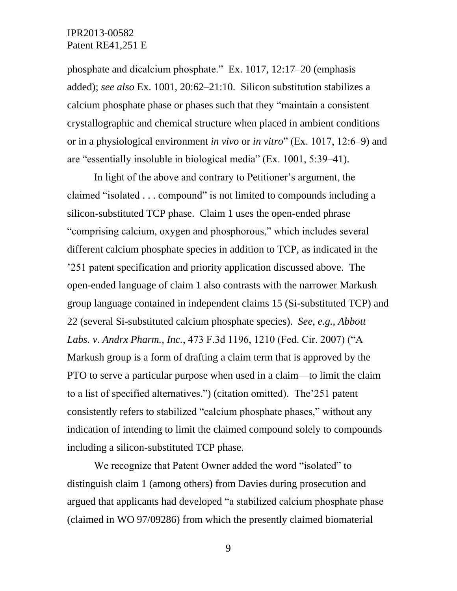phosphate and dicalcium phosphate." Ex. 1017, 12:17–20 (emphasis added); *see also* Ex. 1001, 20:62–21:10. Silicon substitution stabilizes a calcium phosphate phase or phases such that they "maintain a consistent crystallographic and chemical structure when placed in ambient conditions or in a physiological environment *in vivo* or *in vitro*" (Ex. 1017, 12:6–9) and are "essentially insoluble in biological media" (Ex. 1001, 5:39–41).

In light of the above and contrary to Petitioner's argument, the claimed "isolated . . . compound" is not limited to compounds including a silicon-substituted TCP phase. Claim 1 uses the open-ended phrase "comprising calcium, oxygen and phosphorous," which includes several different calcium phosphate species in addition to TCP, as indicated in the '251 patent specification and priority application discussed above. The open-ended language of claim 1 also contrasts with the narrower Markush group language contained in independent claims 15 (Si-substituted TCP) and 22 (several Si-substituted calcium phosphate species). *See, e.g., Abbott Labs. v. Andrx Pharm., Inc.*, 473 F.3d 1196, 1210 (Fed. Cir. 2007) ("A Markush group is a form of drafting a claim term that is approved by the PTO to serve a particular purpose when used in a claim—to limit the claim to a list of specified alternatives.") (citation omitted). The'251 patent consistently refers to stabilized "calcium phosphate phases," without any indication of intending to limit the claimed compound solely to compounds including a silicon-substituted TCP phase.

We recognize that Patent Owner added the word "isolated" to distinguish claim 1 (among others) from Davies during prosecution and argued that applicants had developed "a stabilized calcium phosphate phase (claimed in WO 97/09286) from which the presently claimed biomaterial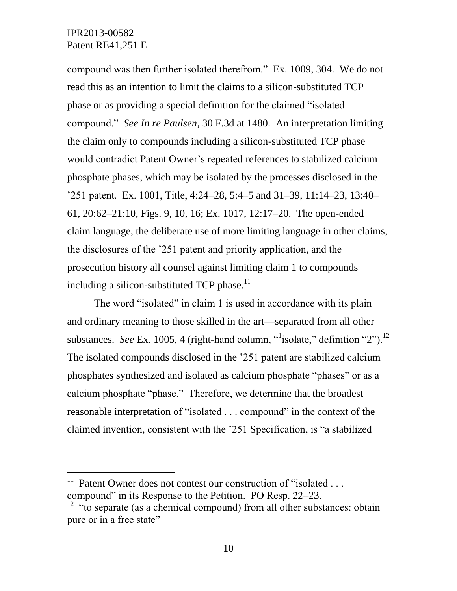l

compound was then further isolated therefrom." Ex. 1009, 304. We do not read this as an intention to limit the claims to a silicon-substituted TCP phase or as providing a special definition for the claimed "isolated compound." *See In re Paulsen*, 30 F.3d at 1480. An interpretation limiting the claim only to compounds including a silicon-substituted TCP phase would contradict Patent Owner's repeated references to stabilized calcium phosphate phases, which may be isolated by the processes disclosed in the '251 patent. Ex. 1001, Title, 4:24–28, 5:4–5 and 31–39, 11:14–23, 13:40– 61, 20:62–21:10, Figs. 9, 10, 16; Ex. 1017, 12:17–20. The open-ended claim language, the deliberate use of more limiting language in other claims, the disclosures of the '251 patent and priority application, and the prosecution history all counsel against limiting claim 1 to compounds including a silicon-substituted TCP phase.<sup>11</sup>

The word "isolated" in claim 1 is used in accordance with its plain and ordinary meaning to those skilled in the art—separated from all other substances. *See* Ex. 1005, 4 (right-hand column, "alisolate," definition "2").<sup>12</sup> The isolated compounds disclosed in the '251 patent are stabilized calcium phosphates synthesized and isolated as calcium phosphate "phases" or as a calcium phosphate "phase." Therefore, we determine that the broadest reasonable interpretation of "isolated . . . compound" in the context of the claimed invention, consistent with the '251 Specification, is "a stabilized

<sup>11</sup> Patent Owner does not contest our construction of "isolated . . . compound" in its Response to the Petition. PO Resp. 22–23.

 $12$  "to separate (as a chemical compound) from all other substances: obtain pure or in a free state"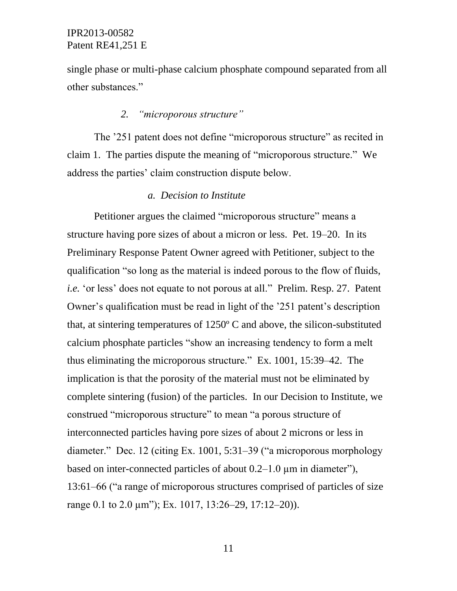single phase or multi-phase calcium phosphate compound separated from all other substances."

# *2. "microporous structure"*

The '251 patent does not define "microporous structure" as recited in claim 1. The parties dispute the meaning of "microporous structure." We address the parties' claim construction dispute below.

### *a. Decision to Institute*

Petitioner argues the claimed "microporous structure" means a structure having pore sizes of about a micron or less. Pet. 19–20. In its Preliminary Response Patent Owner agreed with Petitioner, subject to the qualification "so long as the material is indeed porous to the flow of fluids, *i.e.* 'or less' does not equate to not porous at all." Prelim. Resp. 27. Patent Owner's qualification must be read in light of the '251 patent's description that, at sintering temperatures of 1250º C and above, the silicon-substituted calcium phosphate particles "show an increasing tendency to form a melt thus eliminating the microporous structure." Ex. 1001, 15:39–42. The implication is that the porosity of the material must not be eliminated by complete sintering (fusion) of the particles. In our Decision to Institute, we construed "microporous structure" to mean "a porous structure of interconnected particles having pore sizes of about 2 microns or less in diameter." Dec. 12 (citing Ex. 1001, 5:31–39 ("a microporous morphology based on inter-connected particles of about  $0.2-1.0 \mu m$  in diameter"), 13:61–66 ("a range of microporous structures comprised of particles of size range 0.1 to 2.0  $\mu$ m"); Ex. 1017, 13:26–29, 17:12–20)).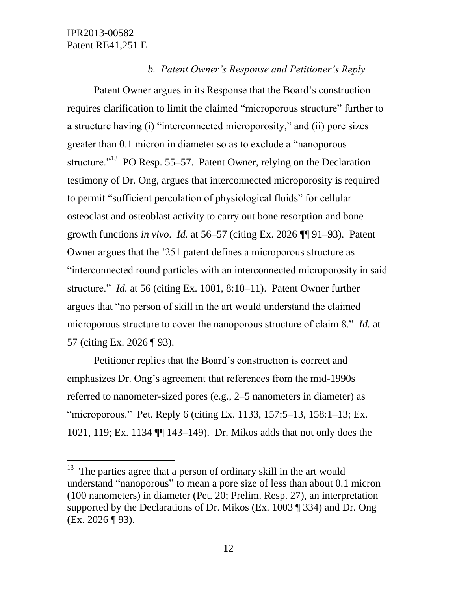$\overline{a}$ 

## *b. Patent Owner's Response and Petitioner's Reply*

Patent Owner argues in its Response that the Board's construction requires clarification to limit the claimed "microporous structure" further to a structure having (i) "interconnected microporosity," and (ii) pore sizes greater than 0.1 micron in diameter so as to exclude a "nanoporous structure."<sup>13</sup> PO Resp. 55–57. Patent Owner, relying on the Declaration testimony of Dr. Ong, argues that interconnected microporosity is required to permit "sufficient percolation of physiological fluids" for cellular osteoclast and osteoblast activity to carry out bone resorption and bone growth functions *in vivo*. *Id.* at 56–57 (citing Ex. 2026 ¶¶ 91–93). Patent Owner argues that the '251 patent defines a microporous structure as "interconnected round particles with an interconnected microporosity in said structure." *Id.* at 56 (citing Ex. 1001, 8:10–11). Patent Owner further argues that "no person of skill in the art would understand the claimed microporous structure to cover the nanoporous structure of claim 8." *Id.* at 57 (citing Ex. 2026 ¶ 93).

Petitioner replies that the Board's construction is correct and emphasizes Dr. Ong's agreement that references from the mid-1990s referred to nanometer-sized pores (e.g., 2–5 nanometers in diameter) as "microporous." Pet. Reply 6 (citing Ex. 1133, 157:5–13, 158:1–13; Ex. 1021, 119; Ex. 1134 ¶¶ 143–149). Dr. Mikos adds that not only does the

<sup>&</sup>lt;sup>13</sup> The parties agree that a person of ordinary skill in the art would understand "nanoporous" to mean a pore size of less than about 0.1 micron (100 nanometers) in diameter (Pet. 20; Prelim. Resp. 27), an interpretation supported by the Declarations of Dr. Mikos (Ex. 1003 ¶ 334) and Dr. Ong (Ex. 2026 ¶ 93).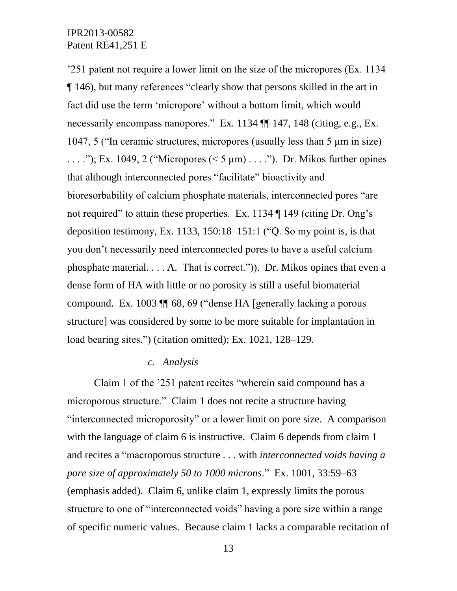'251 patent not require a lower limit on the size of the micropores (Ex. 1134 ¶ 146), but many references "clearly show that persons skilled in the art in fact did use the term 'micropore' without a bottom limit, which would necessarily encompass nanopores." Ex. 1134 ¶¶ 147, 148 (citing, e.g., Ex. 1047, 5 ("In ceramic structures, micropores (usually less than 5 µm in size) ...."); Ex. 1049, 2 ("Micropores  $(< 5 \mu m)$ ...."). Dr. Mikos further opines that although interconnected pores "facilitate" bioactivity and bioresorbability of calcium phosphate materials, interconnected pores "are not required" to attain these properties. Ex. 1134 ¶ 149 (citing Dr. Ong's deposition testimony, Ex. 1133, 150:18–151:1 ("Q. So my point is, is that you don't necessarily need interconnected pores to have a useful calcium phosphate material. . . . A. That is correct.")). Dr. Mikos opines that even a dense form of HA with little or no porosity is still a useful biomaterial compound. Ex. 1003 ¶¶ 68, 69 ("dense HA [generally lacking a porous structure] was considered by some to be more suitable for implantation in load bearing sites.") (citation omitted); Ex. 1021, 128–129.

### *c. Analysis*

Claim 1 of the '251 patent recites "wherein said compound has a microporous structure." Claim 1 does not recite a structure having "interconnected microporosity" or a lower limit on pore size. A comparison with the language of claim 6 is instructive. Claim 6 depends from claim 1 and recites a "macroporous structure . . . with *interconnected voids having a pore size of approximately 50 to 1000 microns*." Ex. 1001, 33:59–63 (emphasis added). Claim 6, unlike claim 1, expressly limits the porous structure to one of "interconnected voids" having a pore size within a range of specific numeric values. Because claim 1 lacks a comparable recitation of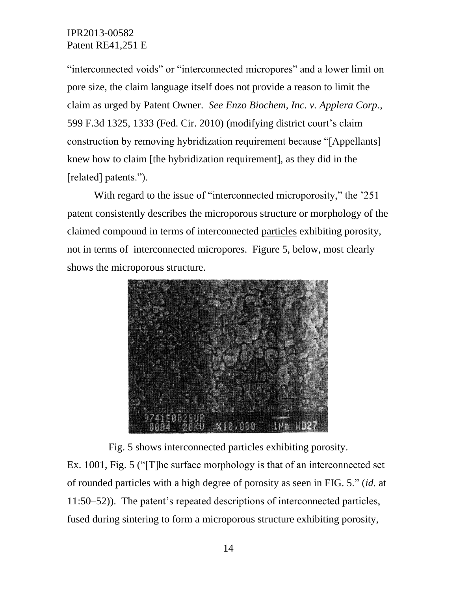"interconnected voids" or "interconnected micropores" and a lower limit on pore size, the claim language itself does not provide a reason to limit the claim as urged by Patent Owner. *See Enzo Biochem, Inc. v. Applera Corp.*, 599 F.3d 1325, 1333 (Fed. Cir. 2010) (modifying district court's claim construction by removing hybridization requirement because "[Appellants] knew how to claim [the hybridization requirement], as they did in the [related] patents.").

With regard to the issue of "interconnected microporosity," the '251 patent consistently describes the microporous structure or morphology of the claimed compound in terms of interconnected particles exhibiting porosity, not in terms of interconnected micropores. Figure 5, below, most clearly shows the microporous structure.



Fig. 5 shows interconnected particles exhibiting porosity.

Ex. 1001, Fig. 5 ("[T]he surface morphology is that of an interconnected set of rounded particles with a high degree of porosity as seen in FIG. 5." (*id.* at 11:50–52)). The patent's repeated descriptions of interconnected particles, fused during sintering to form a microporous structure exhibiting porosity,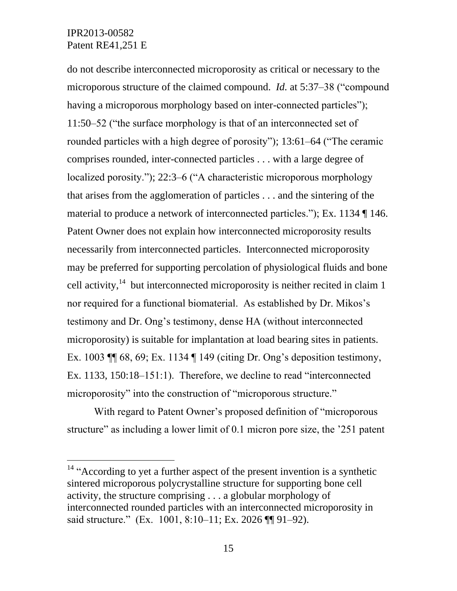$\overline{a}$ 

do not describe interconnected microporosity as critical or necessary to the microporous structure of the claimed compound. *Id.* at 5:37–38 ("compound having a microporous morphology based on inter-connected particles"); 11:50–52 ("the surface morphology is that of an interconnected set of rounded particles with a high degree of porosity"); 13:61–64 ("The ceramic comprises rounded, inter-connected particles . . . with a large degree of localized porosity."); 22:3–6 ("A characteristic microporous morphology that arises from the agglomeration of particles . . . and the sintering of the material to produce a network of interconnected particles."); Ex. 1134 ¶ 146. Patent Owner does not explain how interconnected microporosity results necessarily from interconnected particles. Interconnected microporosity may be preferred for supporting percolation of physiological fluids and bone cell activity,  $14$  but interconnected microporosity is neither recited in claim 1 nor required for a functional biomaterial. As established by Dr. Mikos's testimony and Dr. Ong's testimony, dense HA (without interconnected microporosity) is suitable for implantation at load bearing sites in patients. Ex. 1003 ¶¶ 68, 69; Ex. 1134 ¶ 149 (citing Dr. Ong's deposition testimony, Ex. 1133, 150:18–151:1). Therefore, we decline to read "interconnected microporosity" into the construction of "microporous structure."

With regard to Patent Owner's proposed definition of "microporous structure" as including a lower limit of 0.1 micron pore size, the '251 patent

<sup>&</sup>lt;sup>14</sup> "According to yet a further aspect of the present invention is a synthetic sintered microporous polycrystalline structure for supporting bone cell activity, the structure comprising . . . a globular morphology of interconnected rounded particles with an interconnected microporosity in said structure." (Ex. 1001, 8:10–11; Ex. 2026 ¶¶ 91–92).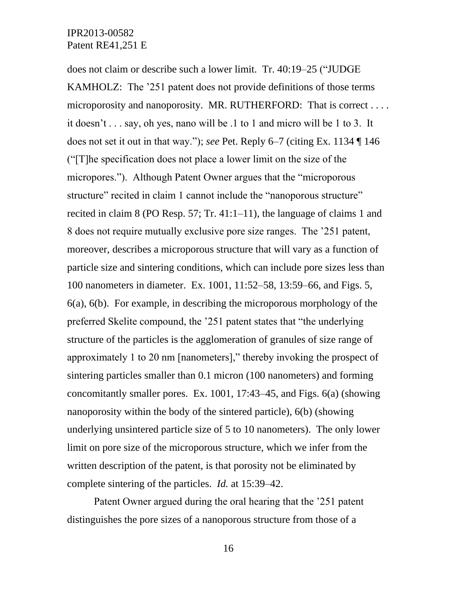does not claim or describe such a lower limit. Tr. 40:19–25 ("JUDGE KAMHOLZ: The '251 patent does not provide definitions of those terms microporosity and nanoporosity. MR. RUTHERFORD: That is correct . . . . it doesn't . . . say, oh yes, nano will be .1 to 1 and micro will be 1 to 3. It does not set it out in that way."); *see* Pet. Reply 6–7 (citing Ex. 1134 ¶ 146 ("[T]he specification does not place a lower limit on the size of the micropores."). Although Patent Owner argues that the "microporous structure" recited in claim 1 cannot include the "nanoporous structure" recited in claim 8 (PO Resp. 57; Tr. 41:1–11), the language of claims 1 and 8 does not require mutually exclusive pore size ranges. The '251 patent, moreover, describes a microporous structure that will vary as a function of particle size and sintering conditions, which can include pore sizes less than 100 nanometers in diameter. Ex. 1001, 11:52–58, 13:59–66, and Figs. 5, 6(a), 6(b). For example, in describing the microporous morphology of the preferred Skelite compound, the '251 patent states that "the underlying structure of the particles is the agglomeration of granules of size range of approximately 1 to 20 nm [nanometers]," thereby invoking the prospect of sintering particles smaller than 0.1 micron (100 nanometers) and forming concomitantly smaller pores. Ex. 1001, 17:43–45, and Figs. 6(a) (showing nanoporosity within the body of the sintered particle), 6(b) (showing underlying unsintered particle size of 5 to 10 nanometers). The only lower limit on pore size of the microporous structure, which we infer from the written description of the patent, is that porosity not be eliminated by complete sintering of the particles. *Id.* at 15:39–42.

Patent Owner argued during the oral hearing that the '251 patent distinguishes the pore sizes of a nanoporous structure from those of a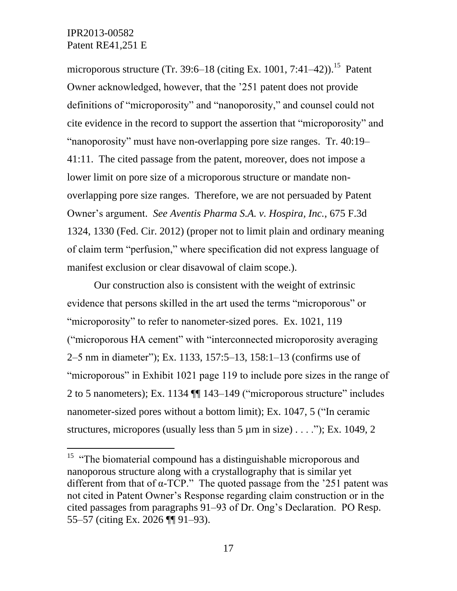$\overline{a}$ 

microporous structure (Tr. 39:6–18 (citing Ex. 1001, 7:41–42)).<sup>15</sup> Patent Owner acknowledged, however, that the '251 patent does not provide definitions of "microporosity" and "nanoporosity," and counsel could not cite evidence in the record to support the assertion that "microporosity" and "nanoporosity" must have non-overlapping pore size ranges. Tr. 40:19– 41:11. The cited passage from the patent, moreover, does not impose a lower limit on pore size of a microporous structure or mandate nonoverlapping pore size ranges. Therefore, we are not persuaded by Patent Owner's argument. *See Aventis Pharma S.A. v. Hospira, Inc.*, 675 F.3d 1324, 1330 (Fed. Cir. 2012) (proper not to limit plain and ordinary meaning of claim term "perfusion," where specification did not express language of manifest exclusion or clear disavowal of claim scope.).

Our construction also is consistent with the weight of extrinsic evidence that persons skilled in the art used the terms "microporous" or "microporosity" to refer to nanometer-sized pores. Ex. 1021, 119 ("microporous HA cement" with "interconnected microporosity averaging 2–5 nm in diameter"); Ex. 1133, 157:5–13, 158:1–13 (confirms use of "microporous" in Exhibit 1021 page 119 to include pore sizes in the range of 2 to 5 nanometers); Ex. 1134 ¶¶ 143–149 ("microporous structure" includes nanometer-sized pores without a bottom limit); Ex. 1047, 5 ("In ceramic structures, micropores (usually less than  $5 \mu m$  in size) . . . ."); Ex. 1049, 2

<sup>&</sup>lt;sup>15</sup> "The biomaterial compound has a distinguishable microporous and nanoporous structure along with a crystallography that is similar yet different from that of  $\alpha$ -TCP." The quoted passage from the '251 patent was not cited in Patent Owner's Response regarding claim construction or in the cited passages from paragraphs 91–93 of Dr. Ong's Declaration. PO Resp. 55–57 (citing Ex. 2026 ¶¶ 91–93).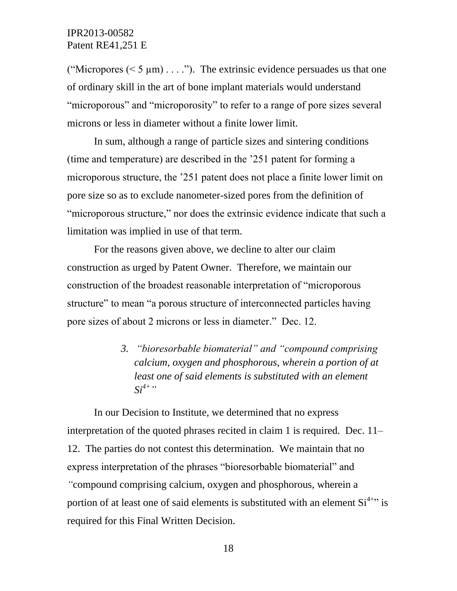("Micropores ( $\leq 5 \mu m$ ) . . . ."). The extrinsic evidence persuades us that one of ordinary skill in the art of bone implant materials would understand "microporous" and "microporosity" to refer to a range of pore sizes several microns or less in diameter without a finite lower limit.

In sum, although a range of particle sizes and sintering conditions (time and temperature) are described in the '251 patent for forming a microporous structure, the '251 patent does not place a finite lower limit on pore size so as to exclude nanometer-sized pores from the definition of "microporous structure," nor does the extrinsic evidence indicate that such a limitation was implied in use of that term.

For the reasons given above, we decline to alter our claim construction as urged by Patent Owner. Therefore, we maintain our construction of the broadest reasonable interpretation of "microporous structure" to mean "a porous structure of interconnected particles having pore sizes of about 2 microns or less in diameter." Dec. 12.

> *3. "bioresorbable biomaterial" and "compound comprising calcium, oxygen and phosphorous, wherein a portion of at least one of said elements is substituted with an element*   $Si^{4+}$ "

In our Decision to Institute, we determined that no express interpretation of the quoted phrases recited in claim 1 is required. Dec. 11– 12. The parties do not contest this determination. We maintain that no express interpretation of the phrases "bioresorbable biomaterial" and *"*compound comprising calcium, oxygen and phosphorous, wherein a portion of at least one of said elements is substituted with an element  $Si<sup>4+2</sup>$  is required for this Final Written Decision.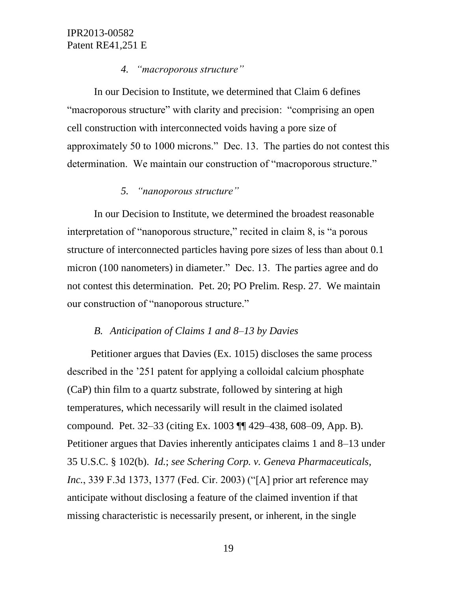## *4. "macroporous structure"*

In our Decision to Institute, we determined that Claim 6 defines "macroporous structure" with clarity and precision: "comprising an open cell construction with interconnected voids having a pore size of approximately 50 to 1000 microns." Dec. 13. The parties do not contest this determination. We maintain our construction of "macroporous structure."

# *5. "nanoporous structure"*

In our Decision to Institute, we determined the broadest reasonable interpretation of "nanoporous structure," recited in claim 8, is "a porous structure of interconnected particles having pore sizes of less than about 0.1 micron (100 nanometers) in diameter." Dec. 13. The parties agree and do not contest this determination. Pet. 20; PO Prelim. Resp. 27. We maintain our construction of "nanoporous structure."

## *B. Anticipation of Claims 1 and 8*–*13 by Davies*

Petitioner argues that Davies (Ex. 1015) discloses the same process described in the '251 patent for applying a colloidal calcium phosphate (CaP) thin film to a quartz substrate, followed by sintering at high temperatures, which necessarily will result in the claimed isolated compound. Pet. 32–33 (citing Ex. 1003 ¶¶ 429–438, 608–09, App. B). Petitioner argues that Davies inherently anticipates claims 1 and 8–13 under 35 U.S.C. § 102(b). *Id.*; *see Schering Corp. v. Geneva Pharmaceuticals, Inc.*, 339 F.3d 1373, 1377 (Fed. Cir. 2003) ("[A] prior art reference may anticipate without disclosing a feature of the claimed invention if that missing characteristic is necessarily present, or inherent, in the single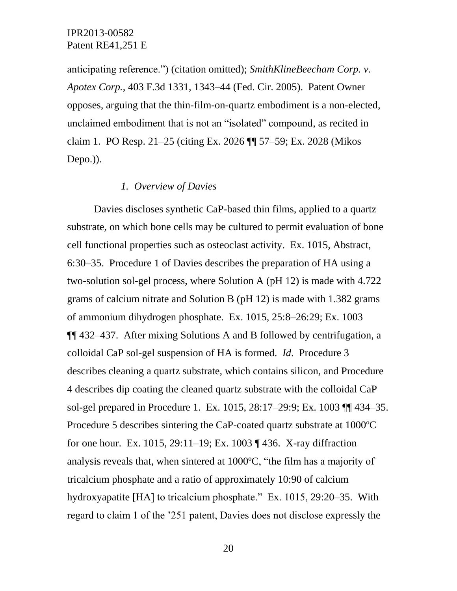anticipating reference.") (citation omitted); *SmithKlineBeecham Corp. v. Apotex Corp.*, 403 F.3d 1331, 1343–44 (Fed. Cir. 2005). Patent Owner opposes, arguing that the thin-film-on-quartz embodiment is a non-elected, unclaimed embodiment that is not an "isolated" compound, as recited in claim 1. PO Resp. 21–25 (citing Ex. 2026 ¶¶ 57–59; Ex. 2028 (Mikos Depo.)).

### *1. Overview of Davies*

Davies discloses synthetic CaP-based thin films, applied to a quartz substrate, on which bone cells may be cultured to permit evaluation of bone cell functional properties such as osteoclast activity. Ex. 1015, Abstract, 6:30–35. Procedure 1 of Davies describes the preparation of HA using a two-solution sol-gel process, where Solution A (pH 12) is made with 4.722 grams of calcium nitrate and Solution B (pH 12) is made with 1.382 grams of ammonium dihydrogen phosphate. Ex. 1015, 25:8–26:29; Ex. 1003 ¶¶ 432–437. After mixing Solutions A and B followed by centrifugation, a colloidal CaP sol-gel suspension of HA is formed. *Id*. Procedure 3 describes cleaning a quartz substrate, which contains silicon, and Procedure 4 describes dip coating the cleaned quartz substrate with the colloidal CaP sol-gel prepared in Procedure 1. Ex. 1015, 28:17–29:9; Ex. 1003 ¶¶ 434–35. Procedure 5 describes sintering the CaP-coated quartz substrate at 1000ºC for one hour. Ex. 1015, 29:11–19; Ex. 1003 ¶ 436. X-ray diffraction analysis reveals that, when sintered at 1000ºC, "the film has a majority of tricalcium phosphate and a ratio of approximately 10:90 of calcium hydroxyapatite [HA] to tricalcium phosphate." Ex. 1015, 29:20–35. With regard to claim 1 of the '251 patent, Davies does not disclose expressly the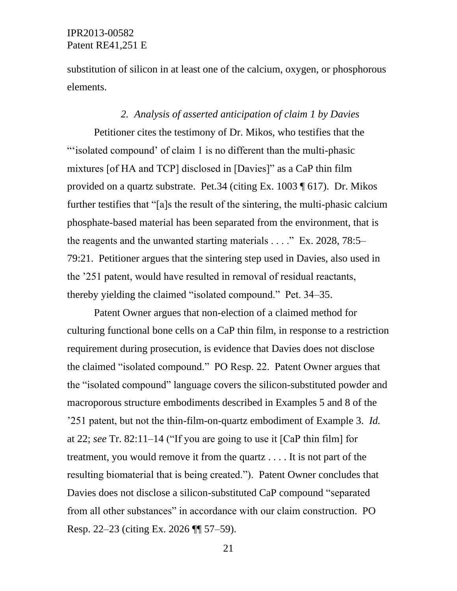substitution of silicon in at least one of the calcium, oxygen, or phosphorous elements.

### *2. Analysis of asserted anticipation of claim 1 by Davies*

Petitioner cites the testimony of Dr. Mikos, who testifies that the "'isolated compound' of claim 1 is no different than the multi-phasic mixtures [of HA and TCP] disclosed in [Davies]" as a CaP thin film provided on a quartz substrate. Pet.34 (citing Ex. 1003 ¶ 617). Dr. Mikos further testifies that "[a]s the result of the sintering, the multi-phasic calcium phosphate-based material has been separated from the environment, that is the reagents and the unwanted starting materials . . . ." Ex. 2028, 78:5– 79:21. Petitioner argues that the sintering step used in Davies, also used in the '251 patent, would have resulted in removal of residual reactants, thereby yielding the claimed "isolated compound." Pet. 34–35.

Patent Owner argues that non-election of a claimed method for culturing functional bone cells on a CaP thin film, in response to a restriction requirement during prosecution, is evidence that Davies does not disclose the claimed "isolated compound." PO Resp. 22. Patent Owner argues that the "isolated compound" language covers the silicon-substituted powder and macroporous structure embodiments described in Examples 5 and 8 of the '251 patent, but not the thin-film-on-quartz embodiment of Example 3. *Id.*  at 22; *see* Tr. 82:11–14 ("If you are going to use it [CaP thin film] for treatment, you would remove it from the quartz . . . . It is not part of the resulting biomaterial that is being created."). Patent Owner concludes that Davies does not disclose a silicon-substituted CaP compound "separated from all other substances" in accordance with our claim construction. PO Resp. 22–23 (citing Ex. 2026 ¶¶ 57–59).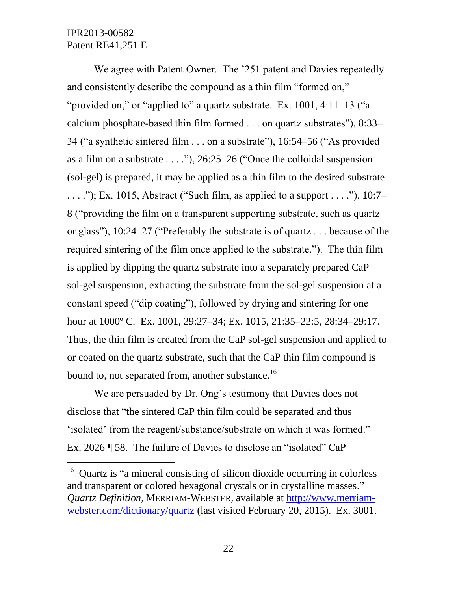$\overline{a}$ 

We agree with Patent Owner. The '251 patent and Davies repeatedly and consistently describe the compound as a thin film "formed on," "provided on," or "applied to" a quartz substrate. Ex. 1001, 4:11–13 ("a calcium phosphate-based thin film formed . . . on quartz substrates"), 8:33– 34 ("a synthetic sintered film . . . on a substrate"), 16:54–56 ("As provided as a film on a substrate  $\dots$  ."), 26:25–26 ("Once the colloidal suspension (sol-gel) is prepared, it may be applied as a thin film to the desired substrate  $\dots$ "); Ex. 1015, Abstract ("Such film, as applied to a support  $\dots$ "), 10:7– 8 ("providing the film on a transparent supporting substrate, such as quartz or glass"), 10:24–27 ("Preferably the substrate is of quartz . . . because of the required sintering of the film once applied to the substrate."). The thin film is applied by dipping the quartz substrate into a separately prepared CaP sol-gel suspension, extracting the substrate from the sol-gel suspension at a constant speed ("dip coating"), followed by drying and sintering for one hour at 1000° C. Ex. 1001, 29:27–34; Ex. 1015, 21:35–22:5, 28:34–29:17. Thus, the thin film is created from the CaP sol-gel suspension and applied to or coated on the quartz substrate, such that the CaP thin film compound is bound to, not separated from, another substance.<sup>16</sup>

We are persuaded by Dr. Ong's testimony that Davies does not disclose that "the sintered CaP thin film could be separated and thus 'isolated' from the reagent/substance/substrate on which it was formed." Ex. 2026 ¶ 58. The failure of Davies to disclose an "isolated" CaP

<sup>&</sup>lt;sup>16</sup> Quartz is "a mineral consisting of silicon dioxide occurring in colorless and transparent or colored hexagonal crystals or in crystalline masses." *Quartz Definition*, MERRIAM-WEBSTER, available at [http://www.merriam](http://www.merriam-webster.com/dictionary/quartz)[webster.com/dictionary/quartz](http://www.merriam-webster.com/dictionary/quartz) (last visited February 20, 2015). Ex. 3001.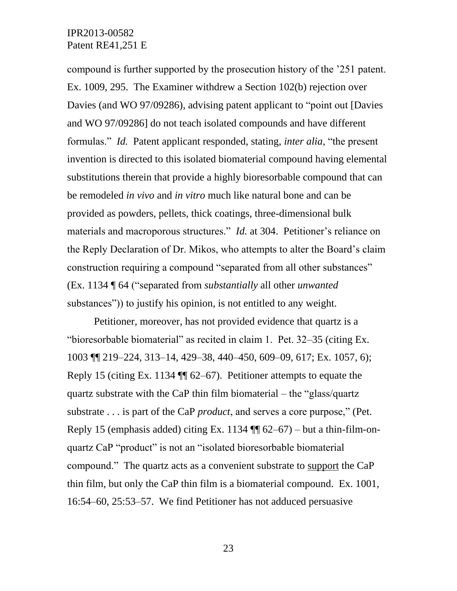compound is further supported by the prosecution history of the '251 patent. Ex. 1009, 295. The Examiner withdrew a Section 102(b) rejection over Davies (and WO 97/09286), advising patent applicant to "point out [Davies and WO 97/09286] do not teach isolated compounds and have different formulas." *Id.* Patent applicant responded, stating, *inter alia*, "the present invention is directed to this isolated biomaterial compound having elemental substitutions therein that provide a highly bioresorbable compound that can be remodeled *in vivo* and *in vitro* much like natural bone and can be provided as powders, pellets, thick coatings, three-dimensional bulk materials and macroporous structures." *Id.* at 304. Petitioner's reliance on the Reply Declaration of Dr. Mikos, who attempts to alter the Board's claim construction requiring a compound "separated from all other substances" (Ex. 1134 ¶ 64 ("separated from *substantially* all other *unwanted*  substances")) to justify his opinion, is not entitled to any weight.

Petitioner, moreover, has not provided evidence that quartz is a "bioresorbable biomaterial" as recited in claim 1. Pet. 32–35 (citing Ex. 1003 ¶¶ 219–224, 313–14, 429–38, 440–450, 609–09, 617; Ex. 1057, 6); Reply 15 (citing Ex. 1134 ¶¶ 62–67). Petitioner attempts to equate the quartz substrate with the CaP thin film biomaterial – the "glass/quartz substrate . . . is part of the CaP *product*, and serves a core purpose," (Pet. Reply 15 (emphasis added) citing Ex. 1134 ¶¶ 62–67) – but a thin-film-onquartz CaP "product" is not an "isolated bioresorbable biomaterial compound." The quartz acts as a convenient substrate to support the CaP thin film, but only the CaP thin film is a biomaterial compound. Ex. 1001, 16:54–60, 25:53–57. We find Petitioner has not adduced persuasive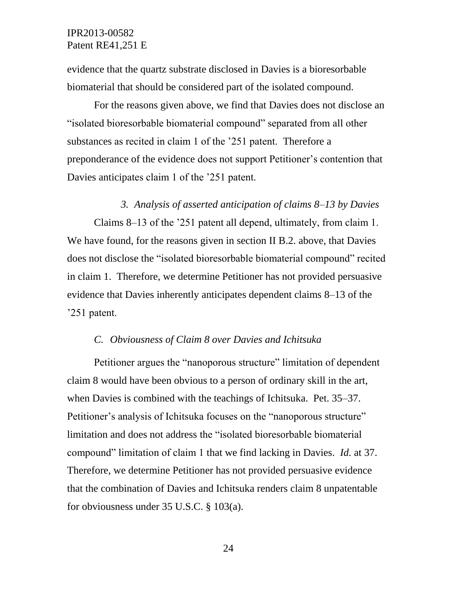evidence that the quartz substrate disclosed in Davies is a bioresorbable biomaterial that should be considered part of the isolated compound.

For the reasons given above, we find that Davies does not disclose an "isolated bioresorbable biomaterial compound" separated from all other substances as recited in claim 1 of the '251 patent. Therefore a preponderance of the evidence does not support Petitioner's contention that Davies anticipates claim 1 of the '251 patent.

### *3. Analysis of asserted anticipation of claims 8–13 by Davies*

Claims 8–13 of the '251 patent all depend, ultimately, from claim 1. We have found, for the reasons given in section II B.2. above, that Davies does not disclose the "isolated bioresorbable biomaterial compound" recited in claim 1. Therefore, we determine Petitioner has not provided persuasive evidence that Davies inherently anticipates dependent claims 8–13 of the '251 patent.

#### *C. Obviousness of Claim 8 over Davies and Ichitsuka*

Petitioner argues the "nanoporous structure" limitation of dependent claim 8 would have been obvious to a person of ordinary skill in the art, when Davies is combined with the teachings of Ichitsuka. Pet. 35–37. Petitioner's analysis of Ichitsuka focuses on the "nanoporous structure" limitation and does not address the "isolated bioresorbable biomaterial compound" limitation of claim 1 that we find lacking in Davies. *Id.* at 37. Therefore, we determine Petitioner has not provided persuasive evidence that the combination of Davies and Ichitsuka renders claim 8 unpatentable for obviousness under 35 U.S.C. § 103(a).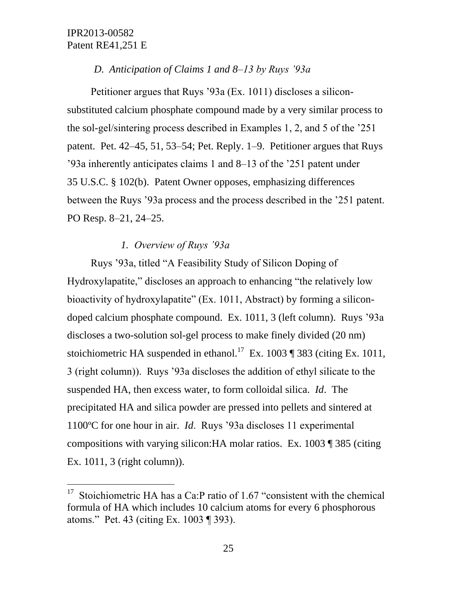l

## *D. Anticipation of Claims 1 and 8–13 by Ruys '93a*

Petitioner argues that Ruys '93a (Ex. 1011) discloses a siliconsubstituted calcium phosphate compound made by a very similar process to the sol-gel/sintering process described in Examples 1, 2, and 5 of the '251 patent. Pet. 42–45, 51, 53–54; Pet. Reply. 1–9. Petitioner argues that Ruys '93a inherently anticipates claims 1 and 8–13 of the '251 patent under 35 U.S.C. § 102(b). Patent Owner opposes, emphasizing differences between the Ruys '93a process and the process described in the '251 patent. PO Resp. 8–21, 24–25.

## *1. Overview of Ruys '93a*

Ruys '93a, titled "A Feasibility Study of Silicon Doping of Hydroxylapatite," discloses an approach to enhancing "the relatively low bioactivity of hydroxylapatite" (Ex. 1011, Abstract) by forming a silicondoped calcium phosphate compound. Ex. 1011, 3 (left column). Ruys '93a discloses a two-solution sol-gel process to make finely divided (20 nm) stoichiometric HA suspended in ethanol.<sup>17</sup> Ex. 1003 ¶ 383 (citing Ex. 1011, 3 (right column)). Ruys '93a discloses the addition of ethyl silicate to the suspended HA, then excess water, to form colloidal silica. *Id*. The precipitated HA and silica powder are pressed into pellets and sintered at 1100ºC for one hour in air. *Id*. Ruys '93a discloses 11 experimental compositions with varying silicon:HA molar ratios. Ex. 1003 ¶ 385 (citing Ex. 1011, 3 (right column)).

<sup>&</sup>lt;sup>17</sup> Stoichiometric HA has a Ca:P ratio of 1.67 "consistent with the chemical formula of HA which includes 10 calcium atoms for every 6 phosphorous atoms." Pet. 43 (citing Ex. 1003 ¶ 393).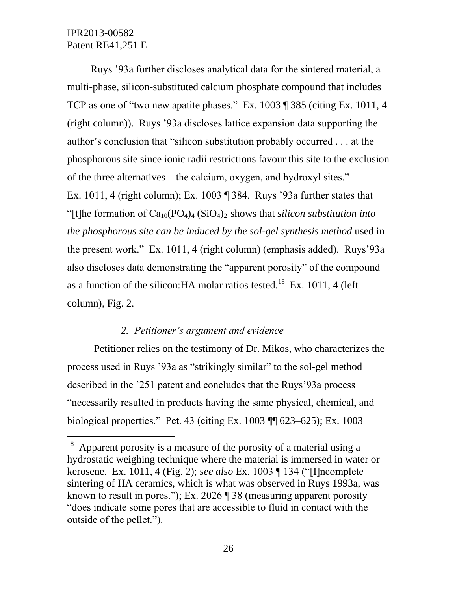$\overline{a}$ 

Ruys '93a further discloses analytical data for the sintered material, a multi-phase, silicon-substituted calcium phosphate compound that includes TCP as one of "two new apatite phases." Ex. 1003 ¶ 385 (citing Ex. 1011, 4 (right column)). Ruys '93a discloses lattice expansion data supporting the author's conclusion that "silicon substitution probably occurred . . . at the phosphorous site since ionic radii restrictions favour this site to the exclusion of the three alternatives – the calcium, oxygen, and hydroxyl sites." Ex. 1011, 4 (right column); Ex. 1003 ¶ 384. Ruys '93a further states that "[t]he formation of  $Ca_{10}(PO_4)_{4}$  (SiO<sub>4</sub>)<sub>2</sub> shows that *silicon substitution into the phosphorous site can be induced by the sol-gel synthesis method* used in the present work." Ex. 1011, 4 (right column) (emphasis added).Ruys'93a also discloses data demonstrating the "apparent porosity" of the compound as a function of the silicon: HA molar ratios tested.<sup>18</sup> Ex. 1011, 4 (left column), Fig. 2.

## *2. Petitioner's argument and evidence*

Petitioner relies on the testimony of Dr. Mikos, who characterizes the process used in Ruys '93a as "strikingly similar" to the sol-gel method described in the '251 patent and concludes that the Ruys'93a process "necessarily resulted in products having the same physical, chemical, and biological properties." Pet. 43 (citing Ex. 1003 ¶¶ 623–625); Ex. 1003

 $18$  Apparent porosity is a measure of the porosity of a material using a hydrostatic weighing technique where the material is immersed in water or kerosene. Ex. 1011, 4 (Fig. 2); *see also* Ex. 1003 ¶ 134 ("[I]ncomplete sintering of HA ceramics, which is what was observed in Ruys 1993a, was known to result in pores."); Ex. 2026 ¶ 38 (measuring apparent porosity "does indicate some pores that are accessible to fluid in contact with the outside of the pellet.").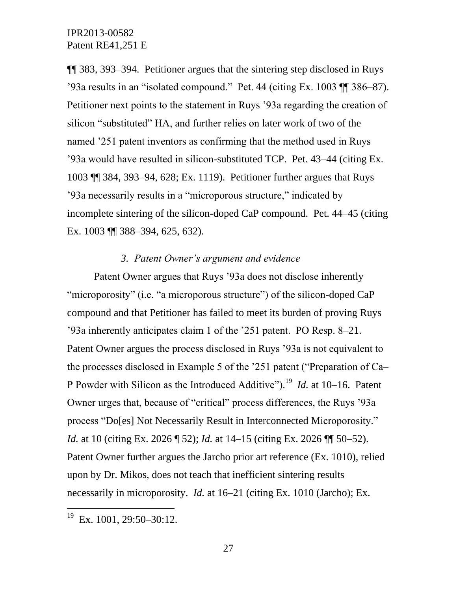¶¶ 383, 393–394. Petitioner argues that the sintering step disclosed in Ruys '93a results in an "isolated compound." Pet. 44 (citing Ex. 1003 ¶¶ 386–87). Petitioner next points to the statement in Ruys '93a regarding the creation of silicon "substituted" HA, and further relies on later work of two of the named '251 patent inventors as confirming that the method used in Ruys '93a would have resulted in silicon-substituted TCP. Pet. 43–44 (citing Ex. 1003 ¶¶ 384, 393–94, 628; Ex. 1119). Petitioner further argues that Ruys '93a necessarily results in a "microporous structure," indicated by incomplete sintering of the silicon-doped CaP compound. Pet. 44–45 (citing Ex. 1003 ¶¶ 388–394, 625, 632).

## *3. Patent Owner's argument and evidence*

Patent Owner argues that Ruys '93a does not disclose inherently "microporosity" (i.e. "a microporous structure") of the silicon-doped CaP compound and that Petitioner has failed to meet its burden of proving Ruys '93a inherently anticipates claim 1 of the '251 patent. PO Resp. 8–21. Patent Owner argues the process disclosed in Ruys '93a is not equivalent to the processes disclosed in Example 5 of the '251 patent ("Preparation of Ca– P Powder with Silicon as the Introduced Additive").<sup>19</sup> *Id.* at 10–16. Patent Owner urges that, because of "critical" process differences, the Ruys '93a process "Do[es] Not Necessarily Result in Interconnected Microporosity." *Id.* at 10 (citing Ex. 2026 ¶ 52); *Id.* at 14–15 (citing Ex. 2026 ¶¶ 50–52). Patent Owner further argues the Jarcho prior art reference (Ex. 1010), relied upon by Dr. Mikos, does not teach that inefficient sintering results necessarily in microporosity. *Id.* at 16–21 (citing Ex. 1010 (Jarcho); Ex.

 $\overline{a}$ 

 $19$  Ex. 1001, 29:50-30:12.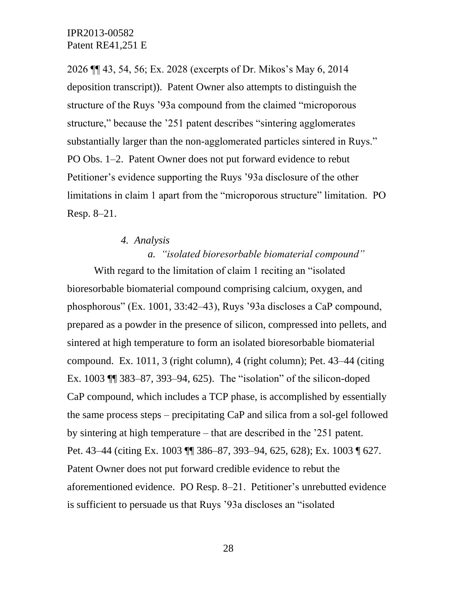2026 ¶¶ 43, 54, 56; Ex. 2028 (excerpts of Dr. Mikos's May 6, 2014 deposition transcript)). Patent Owner also attempts to distinguish the structure of the Ruys '93a compound from the claimed "microporous structure," because the '251 patent describes "sintering agglomerates substantially larger than the non-agglomerated particles sintered in Ruys." PO Obs. 1–2. Patent Owner does not put forward evidence to rebut Petitioner's evidence supporting the Ruys '93a disclosure of the other limitations in claim 1 apart from the "microporous structure" limitation. PO Resp. 8–21.

# *4. Analysis a. "isolated bioresorbable biomaterial compound"*

With regard to the limitation of claim 1 reciting an "isolated" bioresorbable biomaterial compound comprising calcium, oxygen, and phosphorous" (Ex. 1001, 33:42–43), Ruys '93a discloses a CaP compound, prepared as a powder in the presence of silicon, compressed into pellets, and sintered at high temperature to form an isolated bioresorbable biomaterial compound. Ex. 1011, 3 (right column), 4 (right column); Pet. 43–44 (citing Ex. 1003 ¶¶ 383–87, 393–94, 625). The "isolation" of the silicon-doped CaP compound, which includes a TCP phase, is accomplished by essentially the same process steps – precipitating CaP and silica from a sol-gel followed by sintering at high temperature – that are described in the '251 patent. Pet. 43–44 (citing Ex. 1003 ¶¶ 386–87, 393–94, 625, 628); Ex. 1003 ¶ 627. Patent Owner does not put forward credible evidence to rebut the aforementioned evidence. PO Resp. 8–21. Petitioner's unrebutted evidence is sufficient to persuade us that Ruys '93a discloses an "isolated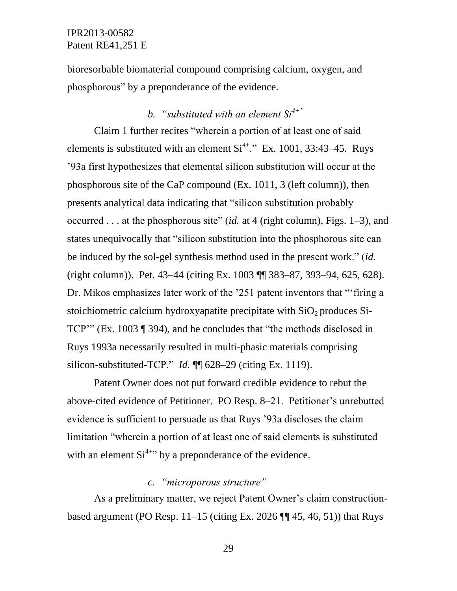bioresorbable biomaterial compound comprising calcium, oxygen, and phosphorous" by a preponderance of the evidence.

# *b. "substituted with an element Si4+"*

Claim 1 further recites "wherein a portion of at least one of said elements is substituted with an element  $Si<sup>4+</sup>$ ." Ex. 1001, 33:43–45. Ruys '93a first hypothesizes that elemental silicon substitution will occur at the phosphorous site of the CaP compound (Ex. 1011, 3 (left column)), then presents analytical data indicating that "silicon substitution probably occurred . . . at the phosphorous site" (*id.* at 4 (right column), Figs. 1–3), and states unequivocally that "silicon substitution into the phosphorous site can be induced by the sol-gel synthesis method used in the present work." (*id.*  (right column)). Pet. 43–44 (citing Ex. 1003 ¶¶ 383–87, 393–94, 625, 628). Dr. Mikos emphasizes later work of the '251 patent inventors that "'firing a stoichiometric calcium hydroxyapatite precipitate with  $SiO<sub>2</sub>$  produces Si-TCP'" (Ex. 1003 ¶ 394), and he concludes that "the methods disclosed in Ruys 1993a necessarily resulted in multi-phasic materials comprising silicon-substituted-TCP." *Id.* ¶ 628–29 (citing Ex. 1119).

Patent Owner does not put forward credible evidence to rebut the above-cited evidence of Petitioner. PO Resp. 8–21. Petitioner's unrebutted evidence is sufficient to persuade us that Ruys '93a discloses the claim limitation "wherein a portion of at least one of said elements is substituted with an element  $Si<sup>4+7</sup>$  by a preponderance of the evidence.

## *c. "microporous structure"*

As a preliminary matter, we reject Patent Owner's claim constructionbased argument (PO Resp.  $11-15$  (citing Ex. 2026  $\P\P$  45, 46, 51)) that Ruys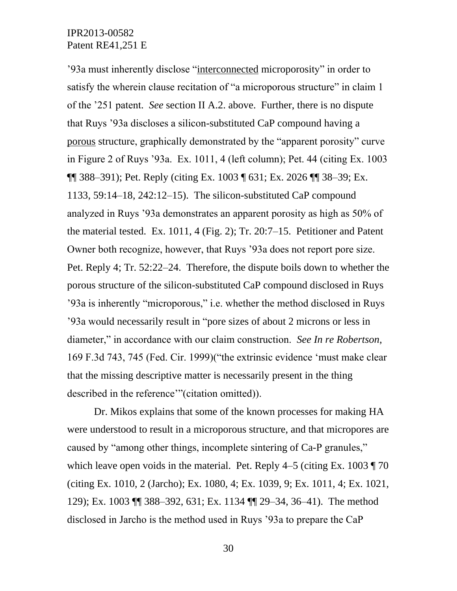'93a must inherently disclose "interconnected microporosity" in order to satisfy the wherein clause recitation of "a microporous structure" in claim 1 of the '251 patent. *See* section II A.2. above. Further, there is no dispute that Ruys '93a discloses a silicon-substituted CaP compound having a porous structure, graphically demonstrated by the "apparent porosity" curve in Figure 2 of Ruys '93a. Ex. 1011, 4 (left column); Pet. 44 (citing Ex. 1003  $\P$  388–391); Pet. Reply (citing Ex. 1003  $\P$  631; Ex. 2026  $\P$  38–39; Ex. 1133, 59:14–18, 242:12–15). The silicon-substituted CaP compound analyzed in Ruys '93a demonstrates an apparent porosity as high as 50% of the material tested. Ex. 1011, 4 (Fig. 2); Tr. 20:7–15. Petitioner and Patent Owner both recognize, however, that Ruys '93a does not report pore size. Pet. Reply 4; Tr. 52:22–24. Therefore, the dispute boils down to whether the porous structure of the silicon-substituted CaP compound disclosed in Ruys '93a is inherently "microporous," i.e. whether the method disclosed in Ruys '93a would necessarily result in "pore sizes of about 2 microns or less in diameter," in accordance with our claim construction. *See In re Robertson*, 169 F.3d 743, 745 (Fed. Cir. 1999)("the extrinsic evidence 'must make clear that the missing descriptive matter is necessarily present in the thing described in the reference'"(citation omitted)).

Dr. Mikos explains that some of the known processes for making HA were understood to result in a microporous structure, and that micropores are caused by "among other things, incomplete sintering of Ca-P granules," which leave open voids in the material. Pet. Reply  $4-5$  (citing Ex. 1003  $\sqrt{70}$ ) (citing Ex. 1010, 2 (Jarcho); Ex. 1080, 4; Ex. 1039, 9; Ex. 1011, 4; Ex. 1021, 129); Ex. 1003 ¶¶ 388–392, 631; Ex. 1134 ¶¶ 29–34, 36–41). The method disclosed in Jarcho is the method used in Ruys '93a to prepare the CaP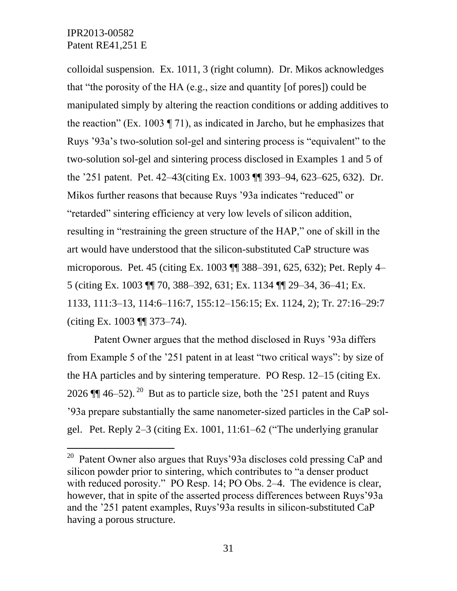$\overline{a}$ 

colloidal suspension. Ex. 1011, 3 (right column). Dr. Mikos acknowledges that "the porosity of the HA (e.g., size and quantity [of pores]) could be manipulated simply by altering the reaction conditions or adding additives to the reaction" (Ex. 1003 ¶ 71), as indicated in Jarcho, but he emphasizes that Ruys '93a's two-solution sol-gel and sintering process is "equivalent" to the two-solution sol-gel and sintering process disclosed in Examples 1 and 5 of the '251 patent. Pet. 42–43(citing Ex. 1003 ¶¶ 393–94, 623–625, 632). Dr. Mikos further reasons that because Ruys '93a indicates "reduced" or "retarded" sintering efficiency at very low levels of silicon addition, resulting in "restraining the green structure of the HAP," one of skill in the art would have understood that the silicon-substituted CaP structure was microporous. Pet. 45 (citing Ex. 1003 ¶¶ 388–391, 625, 632); Pet. Reply 4– 5 (citing Ex. 1003 ¶¶ 70, 388–392, 631; Ex. 1134 ¶¶ 29–34, 36–41; Ex. 1133, 111:3–13, 114:6–116:7, 155:12–156:15; Ex. 1124, 2); Tr. 27:16–29:7 (citing Ex. 1003 ¶¶ 373–74).

Patent Owner argues that the method disclosed in Ruys '93a differs from Example 5 of the '251 patent in at least "two critical ways": by size of the HA particles and by sintering temperature. PO Resp. 12–15 (citing Ex. 2026  $\P$  46–52).<sup>20</sup> But as to particle size, both the '251 patent and Ruys '93a prepare substantially the same nanometer-sized particles in the CaP solgel. Pet. Reply 2–3 (citing Ex. 1001, 11:61–62 ("The underlying granular

<sup>&</sup>lt;sup>20</sup> Patent Owner also argues that Ruys'93a discloses cold pressing CaP and silicon powder prior to sintering, which contributes to "a denser product with reduced porosity." PO Resp. 14; PO Obs. 2–4. The evidence is clear, however, that in spite of the asserted process differences between Ruys'93a and the '251 patent examples, Ruys'93a results in silicon-substituted CaP having a porous structure.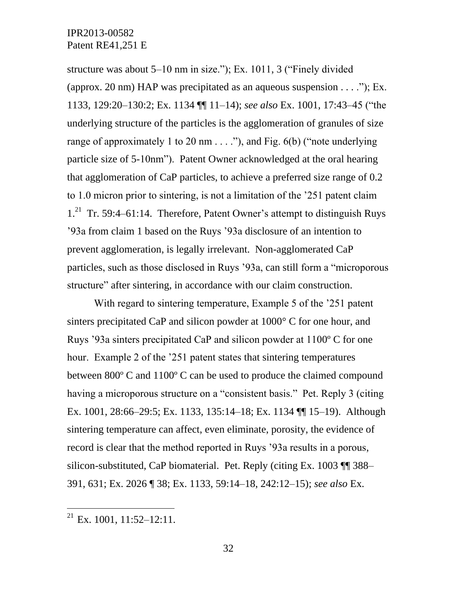structure was about 5–10 nm in size."); Ex. 1011, 3 ("Finely divided (approx. 20 nm) HAP was precipitated as an aqueous suspension  $\dots$  "); Ex. 1133, 129:20–130:2; Ex. 1134 ¶¶ 11–14); *see also* Ex. 1001, 17:43–45 ("the underlying structure of the particles is the agglomeration of granules of size range of approximately 1 to 20 nm  $\dots$  "), and Fig. 6(b) ("note underlying particle size of 5-10nm"). Patent Owner acknowledged at the oral hearing that agglomeration of CaP particles, to achieve a preferred size range of 0.2 to 1.0 micron prior to sintering, is not a limitation of the '251 patent claim 1.<sup>21</sup> Tr. 59:4–61:14. Therefore, Patent Owner's attempt to distinguish Ruys '93a from claim 1 based on the Ruys '93a disclosure of an intention to prevent agglomeration, is legally irrelevant. Non-agglomerated CaP particles, such as those disclosed in Ruys '93a, can still form a "microporous structure" after sintering, in accordance with our claim construction.

With regard to sintering temperature, Example 5 of the '251 patent sinters precipitated CaP and silicon powder at 1000° C for one hour, and Ruys '93a sinters precipitated CaP and silicon powder at 1100º C for one hour. Example 2 of the '251 patent states that sintering temperatures between 800º C and 1100º C can be used to produce the claimed compound having a microporous structure on a "consistent basis." Pet. Reply 3 (citing Ex. 1001, 28:66–29:5; Ex. 1133, 135:14–18; Ex. 1134 ¶¶ 15–19). Although sintering temperature can affect, even eliminate, porosity, the evidence of record is clear that the method reported in Ruys '93a results in a porous, silicon-substituted, CaP biomaterial. Pet. Reply (citing Ex. 1003 ¶¶ 388– 391, 631; Ex. 2026 ¶ 38; Ex. 1133, 59:14–18, 242:12–15); *see also* Ex.

 $\overline{a}$ 

 $^{21}$  Ex. 1001, 11:52-12:11.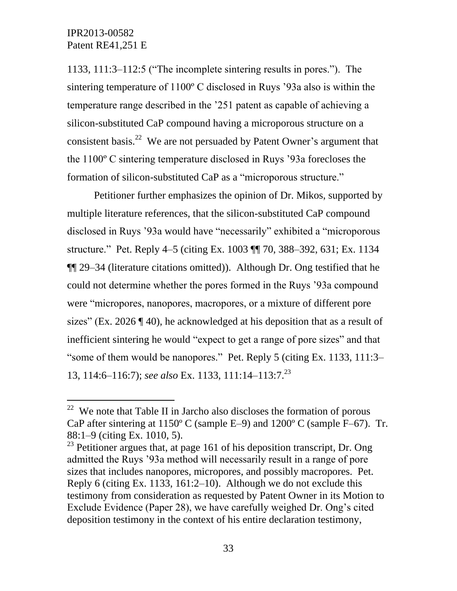$\overline{a}$ 

1133, 111:3–112:5 ("The incomplete sintering results in pores."). The sintering temperature of 1100º C disclosed in Ruys '93a also is within the temperature range described in the '251 patent as capable of achieving a silicon-substituted CaP compound having a microporous structure on a consistent basis.<sup>22</sup> We are not persuaded by Patent Owner's argument that the 1100º C sintering temperature disclosed in Ruys '93a forecloses the formation of silicon-substituted CaP as a "microporous structure."

Petitioner further emphasizes the opinion of Dr. Mikos, supported by multiple literature references, that the silicon-substituted CaP compound disclosed in Ruys '93a would have "necessarily" exhibited a "microporous structure." Pet. Reply 4–5 (citing Ex. 1003 ¶¶ 70, 388–392, 631; Ex. 1134 ¶¶ 29–34 (literature citations omitted)). Although Dr. Ong testified that he could not determine whether the pores formed in the Ruys '93a compound were "micropores, nanopores, macropores, or a mixture of different pore sizes" (Ex. 2026 ¶ 40), he acknowledged at his deposition that as a result of inefficient sintering he would "expect to get a range of pore sizes" and that "some of them would be nanopores." Pet. Reply 5 (citing Ex. 1133, 111:3– 13, 114:6–116:7); *see also* Ex. 1133, 111:14–113:7.<sup>23</sup>

 $22$  We note that Table II in Jarcho also discloses the formation of porous CaP after sintering at 1150º C (sample E–9) and 1200º C (sample F–67). Tr. 88:1–9 (citing Ex. 1010, 5).

 $23$  Petitioner argues that, at page 161 of his deposition transcript, Dr. Ong admitted the Ruys '93a method will necessarily result in a range of pore sizes that includes nanopores, micropores, and possibly macropores. Pet. Reply 6 (citing Ex. 1133, 161:2–10). Although we do not exclude this testimony from consideration as requested by Patent Owner in its Motion to Exclude Evidence (Paper 28), we have carefully weighed Dr. Ong's cited deposition testimony in the context of his entire declaration testimony,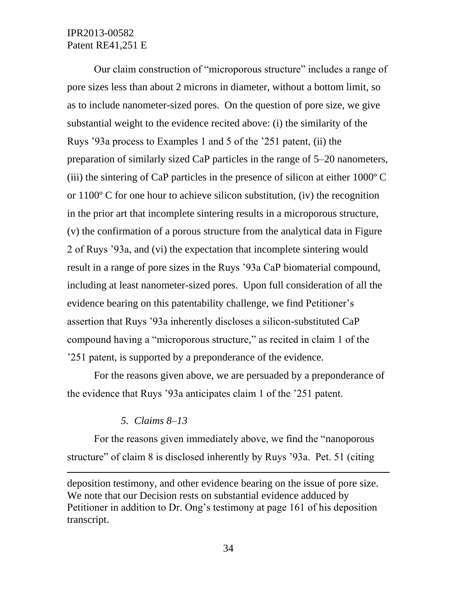Our claim construction of "microporous structure" includes a range of pore sizes less than about 2 microns in diameter, without a bottom limit, so as to include nanometer-sized pores. On the question of pore size, we give substantial weight to the evidence recited above: (i) the similarity of the Ruys '93a process to Examples 1 and 5 of the '251 patent, (ii) the preparation of similarly sized CaP particles in the range of 5–20 nanometers, (iii) the sintering of CaP particles in the presence of silicon at either 1000º C or 1100º C for one hour to achieve silicon substitution, (iv) the recognition in the prior art that incomplete sintering results in a microporous structure, (v) the confirmation of a porous structure from the analytical data in Figure 2 of Ruys '93a, and (vi) the expectation that incomplete sintering would result in a range of pore sizes in the Ruys '93a CaP biomaterial compound, including at least nanometer-sized pores. Upon full consideration of all the evidence bearing on this patentability challenge, we find Petitioner's assertion that Ruys '93a inherently discloses a silicon-substituted CaP compound having a "microporous structure," as recited in claim 1 of the '251 patent, is supported by a preponderance of the evidence.

For the reasons given above, we are persuaded by a preponderance of the evidence that Ruys '93a anticipates claim 1 of the '251 patent.

### *5. Claims 8–13*

l

For the reasons given immediately above, we find the "nanoporous structure" of claim 8 is disclosed inherently by Ruys '93a. Pet. 51 (citing

deposition testimony, and other evidence bearing on the issue of pore size. We note that our Decision rests on substantial evidence adduced by Petitioner in addition to Dr. Ong's testimony at page 161 of his deposition transcript.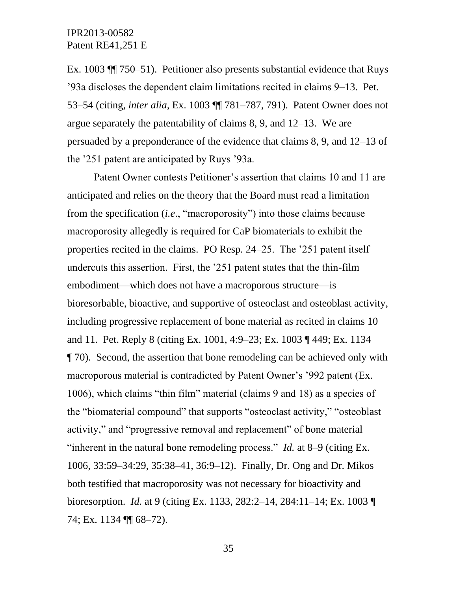Ex. 1003 ¶¶ 750*–*51). Petitioner also presents substantial evidence that Ruys '93a discloses the dependent claim limitations recited in claims 9–13. Pet. 53–54 (citing, *inter alia*, Ex. 1003 ¶¶ 781–787, 791). Patent Owner does not argue separately the patentability of claims 8, 9, and 12–13. We are persuaded by a preponderance of the evidence that claims 8, 9, and 12–13 of the '251 patent are anticipated by Ruys '93a.

Patent Owner contests Petitioner's assertion that claims 10 and 11 are anticipated and relies on the theory that the Board must read a limitation from the specification (*i.e*., "macroporosity") into those claims because macroporosity allegedly is required for CaP biomaterials to exhibit the properties recited in the claims. PO Resp. 24–25. The '251 patent itself undercuts this assertion. First, the '251 patent states that the thin-film embodiment—which does not have a macroporous structure—is bioresorbable, bioactive, and supportive of osteoclast and osteoblast activity, including progressive replacement of bone material as recited in claims 10 and 11. Pet. Reply 8 (citing Ex. 1001, 4:9–23; Ex. 1003 ¶ 449; Ex. 1134 ¶ 70). Second, the assertion that bone remodeling can be achieved only with macroporous material is contradicted by Patent Owner's '992 patent (Ex. 1006), which claims "thin film" material (claims 9 and 18) as a species of the "biomaterial compound" that supports "osteoclast activity," "osteoblast activity," and "progressive removal and replacement" of bone material "inherent in the natural bone remodeling process." *Id.* at 8–9 (citing Ex. 1006, 33:59–34:29, 35:38–41, 36:9–12). Finally, Dr. Ong and Dr. Mikos both testified that macroporosity was not necessary for bioactivity and bioresorption. *Id.* at 9 (citing Ex. 1133, 282:2–14, 284:11–14; Ex. 1003 ¶ 74; Ex. 1134 ¶ 68–72).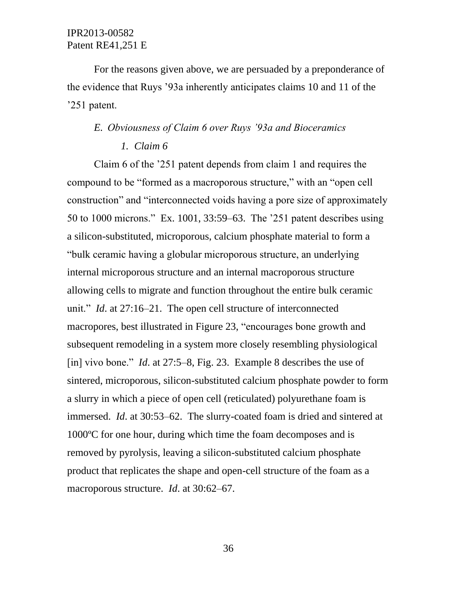For the reasons given above, we are persuaded by a preponderance of the evidence that Ruys '93a inherently anticipates claims 10 and 11 of the '251 patent.

## *E. Obviousness of Claim 6 over Ruys '93a and Bioceramics*

## *1. Claim 6*

Claim 6 of the '251 patent depends from claim 1 and requires the compound to be "formed as a macroporous structure," with an "open cell construction" and "interconnected voids having a pore size of approximately 50 to 1000 microns." Ex. 1001, 33:59–63. The '251 patent describes using a silicon-substituted, microporous, calcium phosphate material to form a "bulk ceramic having a globular microporous structure, an underlying internal microporous structure and an internal macroporous structure allowing cells to migrate and function throughout the entire bulk ceramic unit." *Id*. at 27:16–21. The open cell structure of interconnected macropores, best illustrated in Figure 23, "encourages bone growth and subsequent remodeling in a system more closely resembling physiological [in] vivo bone." *Id*. at 27:5–8, Fig. 23. Example 8 describes the use of sintered, microporous, silicon-substituted calcium phosphate powder to form a slurry in which a piece of open cell (reticulated) polyurethane foam is immersed. *Id*. at 30:53–62. The slurry-coated foam is dried and sintered at 1000ºC for one hour, during which time the foam decomposes and is removed by pyrolysis, leaving a silicon-substituted calcium phosphate product that replicates the shape and open-cell structure of the foam as a macroporous structure. *Id*. at 30:62–67.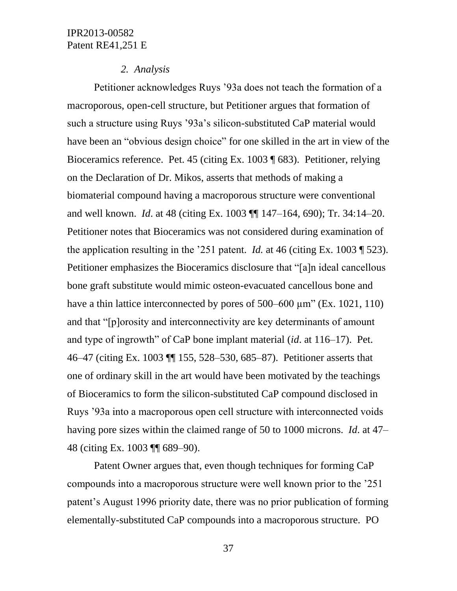#### *2. Analysis*

Petitioner acknowledges Ruys '93a does not teach the formation of a macroporous, open-cell structure, but Petitioner argues that formation of such a structure using Ruys '93a's silicon-substituted CaP material would have been an "obvious design choice" for one skilled in the art in view of the Bioceramics reference. Pet. 45 (citing Ex. 1003 ¶ 683). Petitioner, relying on the Declaration of Dr. Mikos, asserts that methods of making a biomaterial compound having a macroporous structure were conventional and well known. *Id*. at 48 (citing Ex. 1003 ¶¶ 147–164, 690); Tr. 34:14–20. Petitioner notes that Bioceramics was not considered during examination of the application resulting in the '251 patent. *Id.* at 46 (citing Ex. 1003 ¶ 523). Petitioner emphasizes the Bioceramics disclosure that "[a]n ideal cancellous bone graft substitute would mimic osteon-evacuated cancellous bone and have a thin lattice interconnected by pores of  $500-600 \mu m$ " (Ex. 1021, 110) and that "[p]orosity and interconnectivity are key determinants of amount and type of ingrowth" of CaP bone implant material (*id*. at 116–17). Pet. 46–47 (citing Ex. 1003 ¶¶ 155, 528–530, 685–87). Petitioner asserts that one of ordinary skill in the art would have been motivated by the teachings of Bioceramics to form the silicon-substituted CaP compound disclosed in Ruys '93a into a macroporous open cell structure with interconnected voids having pore sizes within the claimed range of 50 to 1000 microns. *Id*. at 47– 48 (citing Ex. 1003 ¶¶ 689–90).

Patent Owner argues that, even though techniques for forming CaP compounds into a macroporous structure were well known prior to the '251 patent's August 1996 priority date, there was no prior publication of forming elementally-substituted CaP compounds into a macroporous structure. PO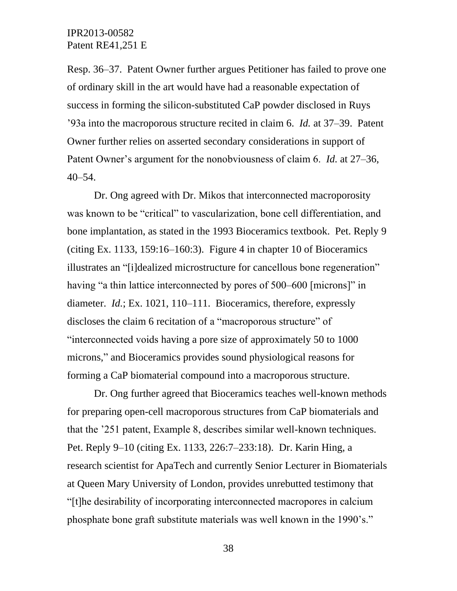Resp. 36–37. Patent Owner further argues Petitioner has failed to prove one of ordinary skill in the art would have had a reasonable expectation of success in forming the silicon-substituted CaP powder disclosed in Ruys '93a into the macroporous structure recited in claim 6. *Id.* at 37–39. Patent Owner further relies on asserted secondary considerations in support of Patent Owner's argument for the nonobviousness of claim 6. *Id.* at 27–36, 40–54.

Dr. Ong agreed with Dr. Mikos that interconnected macroporosity was known to be "critical" to vascularization, bone cell differentiation, and bone implantation, as stated in the 1993 Bioceramics textbook. Pet. Reply 9 (citing Ex. 1133, 159:16–160:3). Figure 4 in chapter 10 of Bioceramics illustrates an "[i]dealized microstructure for cancellous bone regeneration" having "a thin lattice interconnected by pores of 500–600 [microns]" in diameter. *Id.*; Ex. 1021, 110–111. Bioceramics, therefore, expressly discloses the claim 6 recitation of a "macroporous structure" of "interconnected voids having a pore size of approximately 50 to 1000 microns," and Bioceramics provides sound physiological reasons for forming a CaP biomaterial compound into a macroporous structure.

Dr. Ong further agreed that Bioceramics teaches well-known methods for preparing open-cell macroporous structures from CaP biomaterials and that the '251 patent, Example 8, describes similar well-known techniques. Pet. Reply 9–10 (citing Ex. 1133, 226:7–233:18). Dr. Karin Hing, a research scientist for ApaTech and currently Senior Lecturer in Biomaterials at Queen Mary University of London, provides unrebutted testimony that "[t]he desirability of incorporating interconnected macropores in calcium phosphate bone graft substitute materials was well known in the 1990's."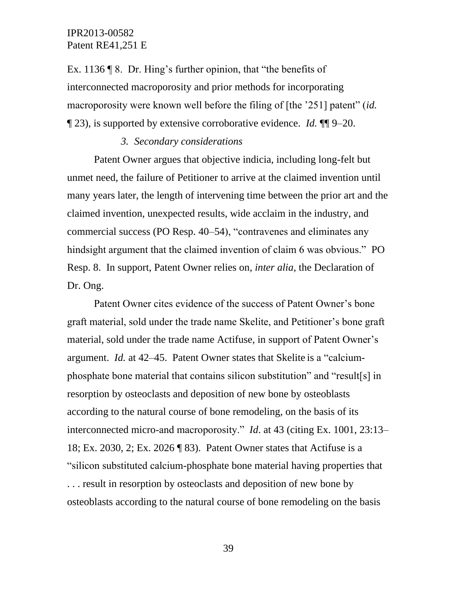Ex. 1136 ¶ 8. Dr. Hing's further opinion, that "the benefits of interconnected macroporosity and prior methods for incorporating macroporosity were known well before the filing of [the '251] patent" (*id.*  ¶ 23), is supported by extensive corroborative evidence. *Id.* ¶¶ 9–20.

### *3. Secondary considerations*

Patent Owner argues that objective indicia, including long-felt but unmet need, the failure of Petitioner to arrive at the claimed invention until many years later, the length of intervening time between the prior art and the claimed invention, unexpected results, wide acclaim in the industry, and commercial success (PO Resp. 40–54), "contravenes and eliminates any hindsight argument that the claimed invention of claim 6 was obvious." PO Resp. 8. In support, Patent Owner relies on, *inter alia*, the Declaration of Dr. Ong.

Patent Owner cites evidence of the success of Patent Owner's bone graft material, sold under the trade name Skelite, and Petitioner's bone graft material, sold under the trade name Actifuse, in support of Patent Owner's argument. *Id.* at 42–45. Patent Owner states that Skelite is a "calciumphosphate bone material that contains silicon substitution" and "result[s] in resorption by osteoclasts and deposition of new bone by osteoblasts according to the natural course of bone remodeling, on the basis of its interconnected micro-and macroporosity." *Id*. at 43 (citing Ex. 1001, 23:13– 18; Ex. 2030, 2; Ex. 2026 ¶ 83). Patent Owner states that Actifuse is a "silicon substituted calcium-phosphate bone material having properties that . . . result in resorption by osteoclasts and deposition of new bone by osteoblasts according to the natural course of bone remodeling on the basis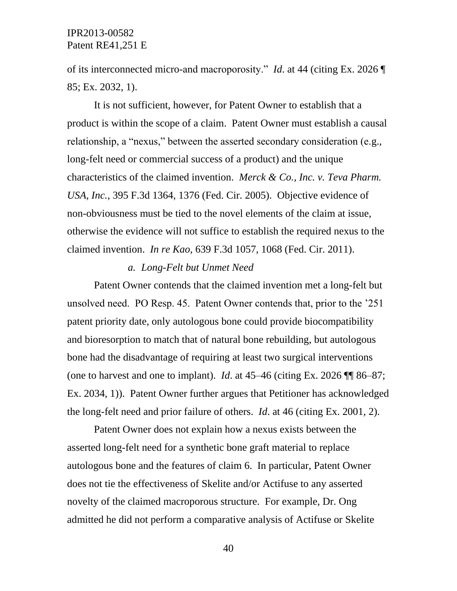of its interconnected micro-and macroporosity." *Id*. at 44 (citing Ex. 2026 ¶ 85; Ex. 2032, 1).

It is not sufficient, however, for Patent Owner to establish that a product is within the scope of a claim. Patent Owner must establish a causal relationship, a "nexus," between the asserted secondary consideration (e.g., long-felt need or commercial success of a product) and the unique characteristics of the claimed invention. *Merck & Co., Inc. v. Teva Pharm. USA, Inc.*, 395 F.3d 1364, 1376 (Fed. Cir. 2005). Objective evidence of non-obviousness must be tied to the novel elements of the claim at issue, otherwise the evidence will not suffice to establish the required nexus to the claimed invention. *In re Kao*, 639 F.3d 1057, 1068 (Fed. Cir. 2011).

### *a. Long-Felt but Unmet Need*

Patent Owner contends that the claimed invention met a long-felt but unsolved need. PO Resp. 45. Patent Owner contends that, prior to the '251 patent priority date, only autologous bone could provide biocompatibility and bioresorption to match that of natural bone rebuilding, but autologous bone had the disadvantage of requiring at least two surgical interventions (one to harvest and one to implant). *Id.* at  $45-46$  (citing Ex. 2026  $\P\P$  86–87; Ex. 2034, 1)). Patent Owner further argues that Petitioner has acknowledged the long-felt need and prior failure of others. *Id*. at 46 (citing Ex. 2001, 2).

Patent Owner does not explain how a nexus exists between the asserted long-felt need for a synthetic bone graft material to replace autologous bone and the features of claim 6. In particular, Patent Owner does not tie the effectiveness of Skelite and/or Actifuse to any asserted novelty of the claimed macroporous structure. For example, Dr. Ong admitted he did not perform a comparative analysis of Actifuse or Skelite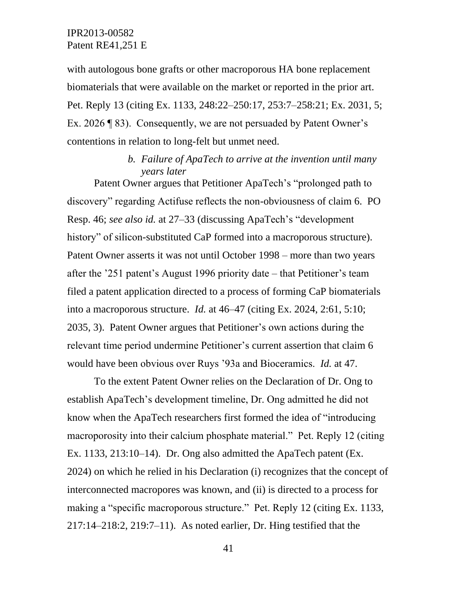with autologous bone grafts or other macroporous HA bone replacement biomaterials that were available on the market or reported in the prior art. Pet. Reply 13 (citing Ex. 1133, 248:22–250:17, 253:7–258:21; Ex. 2031, 5; Ex. 2026 ¶ 83). Consequently, we are not persuaded by Patent Owner's contentions in relation to long-felt but unmet need.

## *b. Failure of ApaTech to arrive at the invention until many years later*

Patent Owner argues that Petitioner ApaTech's "prolonged path to discovery" regarding Actifuse reflects the non-obviousness of claim 6. PO Resp. 46; *see also id.* at 27–33 (discussing ApaTech's "development history" of silicon-substituted CaP formed into a macroporous structure). Patent Owner asserts it was not until October 1998 – more than two years after the '251 patent's August 1996 priority date – that Petitioner's team filed a patent application directed to a process of forming CaP biomaterials into a macroporous structure. *Id.* at 46–47 (citing Ex. 2024, 2:61, 5:10; 2035, 3). Patent Owner argues that Petitioner's own actions during the relevant time period undermine Petitioner's current assertion that claim 6 would have been obvious over Ruys '93a and Bioceramics. *Id.* at 47.

To the extent Patent Owner relies on the Declaration of Dr. Ong to establish ApaTech's development timeline, Dr. Ong admitted he did not know when the ApaTech researchers first formed the idea of "introducing macroporosity into their calcium phosphate material." Pet. Reply 12 (citing Ex. 1133, 213:10–14). Dr. Ong also admitted the ApaTech patent (Ex. 2024) on which he relied in his Declaration (i) recognizes that the concept of interconnected macropores was known, and (ii) is directed to a process for making a "specific macroporous structure." Pet. Reply 12 (citing Ex. 1133, 217:14–218:2, 219:7–11). As noted earlier, Dr. Hing testified that the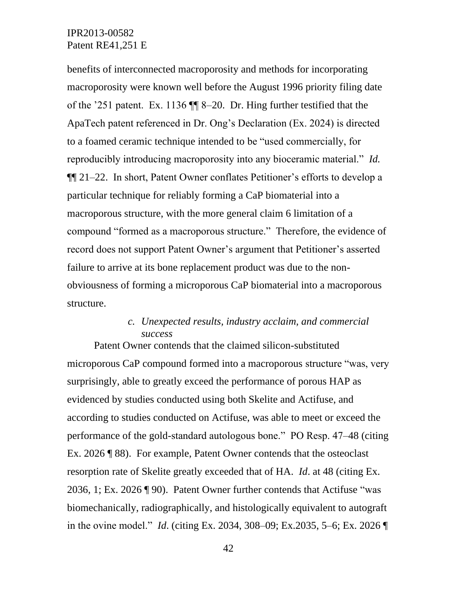benefits of interconnected macroporosity and methods for incorporating macroporosity were known well before the August 1996 priority filing date of the '251 patent. Ex. 1136 ¶¶ 8–20. Dr. Hing further testified that the ApaTech patent referenced in Dr. Ong's Declaration (Ex. 2024) is directed to a foamed ceramic technique intended to be "used commercially, for reproducibly introducing macroporosity into any bioceramic material." *Id.*  ¶¶ 21–22. In short, Patent Owner conflates Petitioner's efforts to develop a particular technique for reliably forming a CaP biomaterial into a macroporous structure, with the more general claim 6 limitation of a compound "formed as a macroporous structure." Therefore, the evidence of record does not support Patent Owner's argument that Petitioner's asserted failure to arrive at its bone replacement product was due to the nonobviousness of forming a microporous CaP biomaterial into a macroporous structure.

# *c. Unexpected results, industry acclaim, and commercial success*

Patent Owner contends that the claimed silicon-substituted microporous CaP compound formed into a macroporous structure "was, very surprisingly, able to greatly exceed the performance of porous HAP as evidenced by studies conducted using both Skelite and Actifuse, and according to studies conducted on Actifuse, was able to meet or exceed the performance of the gold-standard autologous bone." PO Resp. 47–48 (citing Ex. 2026 ¶ 88). For example, Patent Owner contends that the osteoclast resorption rate of Skelite greatly exceeded that of HA. *Id*. at 48 (citing Ex. 2036, 1; Ex. 2026 ¶ 90). Patent Owner further contends that Actifuse "was biomechanically, radiographically, and histologically equivalent to autograft in the ovine model." *Id*. (citing Ex. 2034, 308–09; Ex.2035, 5–6; Ex. 2026 ¶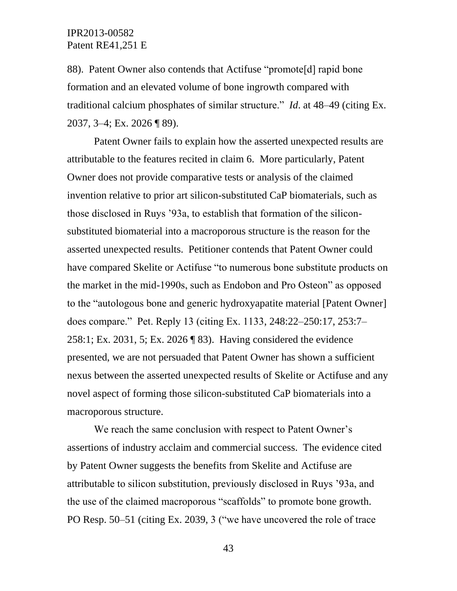88). Patent Owner also contends that Actifuse "promote[d] rapid bone formation and an elevated volume of bone ingrowth compared with traditional calcium phosphates of similar structure." *Id*. at 48–49 (citing Ex. 2037, 3–4; Ex. 2026 ¶ 89).

Patent Owner fails to explain how the asserted unexpected results are attributable to the features recited in claim 6. More particularly, Patent Owner does not provide comparative tests or analysis of the claimed invention relative to prior art silicon-substituted CaP biomaterials, such as those disclosed in Ruys '93a, to establish that formation of the siliconsubstituted biomaterial into a macroporous structure is the reason for the asserted unexpected results. Petitioner contends that Patent Owner could have compared Skelite or Actifuse "to numerous bone substitute products on the market in the mid-1990s, such as Endobon and Pro Osteon" as opposed to the "autologous bone and generic hydroxyapatite material [Patent Owner] does compare." Pet. Reply 13 (citing Ex. 1133, 248:22–250:17, 253:7– 258:1; Ex. 2031, 5; Ex. 2026 ¶ 83). Having considered the evidence presented, we are not persuaded that Patent Owner has shown a sufficient nexus between the asserted unexpected results of Skelite or Actifuse and any novel aspect of forming those silicon-substituted CaP biomaterials into a macroporous structure.

We reach the same conclusion with respect to Patent Owner's assertions of industry acclaim and commercial success. The evidence cited by Patent Owner suggests the benefits from Skelite and Actifuse are attributable to silicon substitution, previously disclosed in Ruys '93a, and the use of the claimed macroporous "scaffolds" to promote bone growth. PO Resp. 50–51 (citing Ex. 2039, 3 ("we have uncovered the role of trace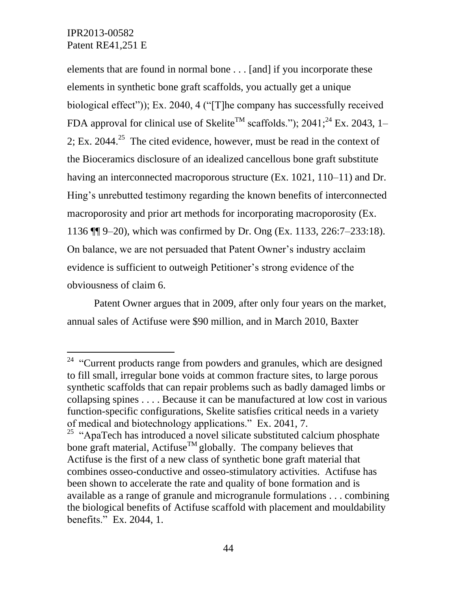$\overline{a}$ 

elements that are found in normal bone . . . [and] if you incorporate these elements in synthetic bone graft scaffolds, you actually get a unique biological effect")); Ex. 2040, 4 ("[T]he company has successfully received FDA approval for clinical use of Skelite<sup>TM</sup> scaffolds."); 2041;<sup>24</sup> Ex. 2043, 1– 2; Ex. 2044.<sup>25</sup> The cited evidence, however, must be read in the context of the Bioceramics disclosure of an idealized cancellous bone graft substitute having an interconnected macroporous structure (Ex. 1021, 110–11) and Dr. Hing's unrebutted testimony regarding the known benefits of interconnected macroporosity and prior art methods for incorporating macroporosity (Ex. 1136 ¶¶ 9–20), which was confirmed by Dr. Ong (Ex. 1133, 226:7–233:18). On balance, we are not persuaded that Patent Owner's industry acclaim evidence is sufficient to outweigh Petitioner's strong evidence of the obviousness of claim 6.

Patent Owner argues that in 2009, after only four years on the market, annual sales of Actifuse were \$90 million, and in March 2010, Baxter

 $24$  "Current products range from powders and granules, which are designed to fill small, irregular bone voids at common fracture sites, to large porous synthetic scaffolds that can repair problems such as badly damaged limbs or collapsing spines . . . . Because it can be manufactured at low cost in various function-specific configurations, Skelite satisfies critical needs in a variety of medical and biotechnology applications." Ex. 2041, 7.

<sup>&</sup>lt;sup>25</sup> "ApaTech has introduced a novel silicate substituted calcium phosphate bone graft material, Actifuse<sup>TM</sup> globally. The company believes that Actifuse is the first of a new class of synthetic bone graft material that combines osseo-conductive and osseo-stimulatory activities. Actifuse has been shown to accelerate the rate and quality of bone formation and is available as a range of granule and microgranule formulations . . . combining the biological benefits of Actifuse scaffold with placement and mouldability benefits." Ex. 2044, 1.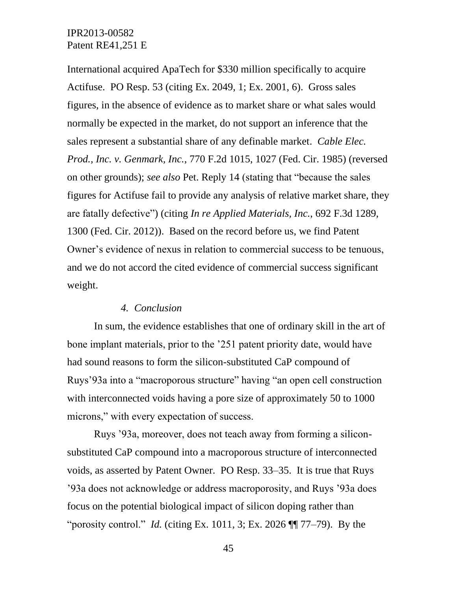International acquired ApaTech for \$330 million specifically to acquire Actifuse. PO Resp. 53 (citing Ex. 2049, 1; Ex. 2001, 6). Gross sales figures, in the absence of evidence as to market share or what sales would normally be expected in the market, do not support an inference that the sales represent a substantial share of any definable market. *Cable Elec. Prod., Inc. v. Genmark, Inc.*, 770 F.2d 1015, 1027 (Fed. Cir. 1985) (reversed on other grounds); *see also* Pet. Reply 14 (stating that "because the sales figures for Actifuse fail to provide any analysis of relative market share, they are fatally defective") (citing *In re Applied Materials, Inc.*, 692 F.3d 1289, 1300 (Fed. Cir. 2012)). Based on the record before us, we find Patent Owner's evidence of nexus in relation to commercial success to be tenuous, and we do not accord the cited evidence of commercial success significant weight.

### *4. Conclusion*

In sum, the evidence establishes that one of ordinary skill in the art of bone implant materials, prior to the '251 patent priority date, would have had sound reasons to form the silicon-substituted CaP compound of Ruys'93a into a "macroporous structure" having "an open cell construction with interconnected voids having a pore size of approximately 50 to 1000 microns," with every expectation of success.

Ruys '93a, moreover, does not teach away from forming a siliconsubstituted CaP compound into a macroporous structure of interconnected voids, as asserted by Patent Owner. PO Resp. 33–35. It is true that Ruys '93a does not acknowledge or address macroporosity, and Ruys '93a does focus on the potential biological impact of silicon doping rather than "porosity control." *Id.* (citing Ex. 1011, 3; Ex. 2026 ¶¶ 77–79). By the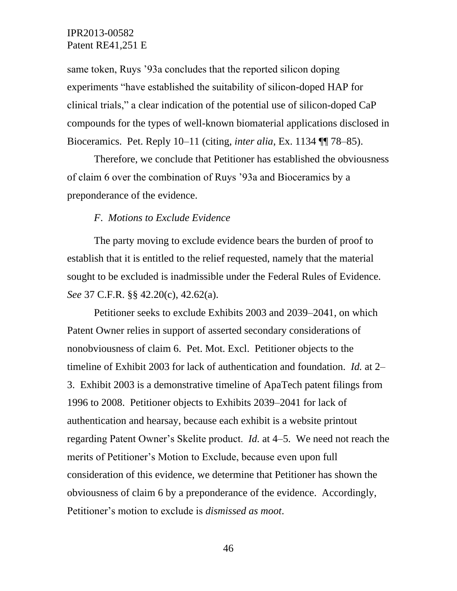same token, Ruys '93a concludes that the reported silicon doping experiments "have established the suitability of silicon-doped HAP for clinical trials," a clear indication of the potential use of silicon-doped CaP compounds for the types of well-known biomaterial applications disclosed in Bioceramics. Pet. Reply 10–11 (citing, *inter alia*, Ex. 1134 ¶¶ 78–85).

Therefore, we conclude that Petitioner has established the obviousness of claim 6 over the combination of Ruys '93a and Bioceramics by a preponderance of the evidence.

### *F*. *Motions to Exclude Evidence*

The party moving to exclude evidence bears the burden of proof to establish that it is entitled to the relief requested, namely that the material sought to be excluded is inadmissible under the Federal Rules of Evidence. *See* 37 C.F.R. §§ 42.20(c), 42.62(a).

Petitioner seeks to exclude Exhibits 2003 and 2039–2041, on which Patent Owner relies in support of asserted secondary considerations of nonobviousness of claim 6. Pet. Mot. Excl. Petitioner objects to the timeline of Exhibit 2003 for lack of authentication and foundation. *Id.* at 2– 3. Exhibit 2003 is a demonstrative timeline of ApaTech patent filings from 1996 to 2008. Petitioner objects to Exhibits 2039–2041 for lack of authentication and hearsay, because each exhibit is a website printout regarding Patent Owner's Skelite product. *Id.* at 4–5. We need not reach the merits of Petitioner's Motion to Exclude, because even upon full consideration of this evidence, we determine that Petitioner has shown the obviousness of claim 6 by a preponderance of the evidence. Accordingly, Petitioner's motion to exclude is *dismissed as moot*.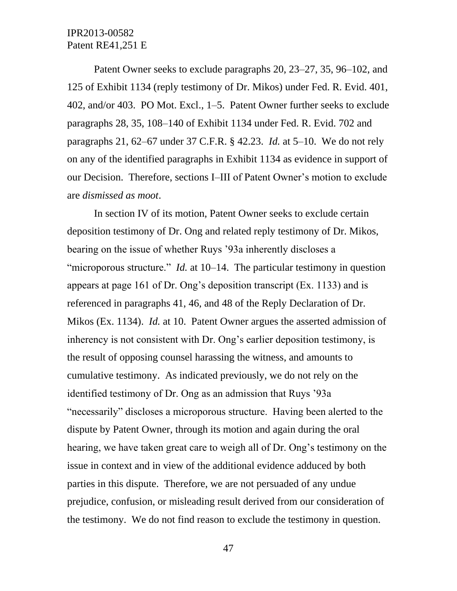Patent Owner seeks to exclude paragraphs 20, 23–27, 35, 96–102, and 125 of Exhibit 1134 (reply testimony of Dr. Mikos) under Fed. R. Evid. 401, 402, and/or 403. PO Mot. Excl., 1–5. Patent Owner further seeks to exclude paragraphs 28, 35, 108–140 of Exhibit 1134 under Fed. R. Evid. 702 and paragraphs 21, 62–67 under 37 C.F.R. § 42.23. *Id.* at 5–10. We do not rely on any of the identified paragraphs in Exhibit 1134 as evidence in support of our Decision. Therefore, sections I–III of Patent Owner's motion to exclude are *dismissed as moot*.

In section IV of its motion, Patent Owner seeks to exclude certain deposition testimony of Dr. Ong and related reply testimony of Dr. Mikos, bearing on the issue of whether Ruys '93a inherently discloses a "microporous structure." *Id.* at 10–14. The particular testimony in question appears at page 161 of Dr. Ong's deposition transcript (Ex. 1133) and is referenced in paragraphs 41, 46, and 48 of the Reply Declaration of Dr. Mikos (Ex. 1134). *Id.* at 10. Patent Owner argues the asserted admission of inherency is not consistent with Dr. Ong's earlier deposition testimony, is the result of opposing counsel harassing the witness, and amounts to cumulative testimony. As indicated previously, we do not rely on the identified testimony of Dr. Ong as an admission that Ruys '93a "necessarily" discloses a microporous structure. Having been alerted to the dispute by Patent Owner, through its motion and again during the oral hearing, we have taken great care to weigh all of Dr. Ong's testimony on the issue in context and in view of the additional evidence adduced by both parties in this dispute. Therefore, we are not persuaded of any undue prejudice, confusion, or misleading result derived from our consideration of the testimony. We do not find reason to exclude the testimony in question.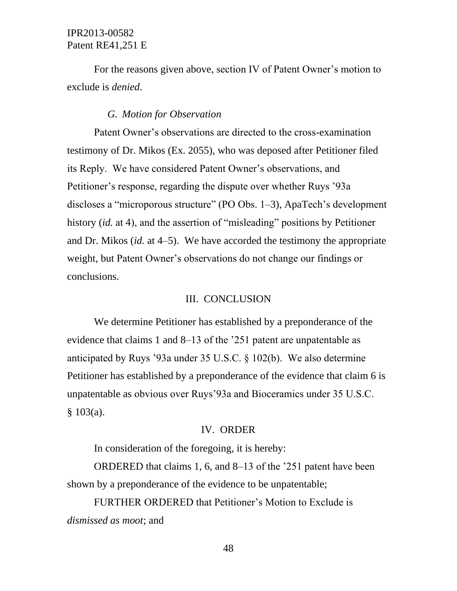For the reasons given above, section IV of Patent Owner's motion to exclude is *denied*.

### *G. Motion for Observation*

Patent Owner's observations are directed to the cross-examination testimony of Dr. Mikos (Ex. 2055), who was deposed after Petitioner filed its Reply. We have considered Patent Owner's observations, and Petitioner's response, regarding the dispute over whether Ruys '93a discloses a "microporous structure" (PO Obs. 1–3), ApaTech's development history *(id.* at 4), and the assertion of "misleading" positions by Petitioner and Dr. Mikos (*id.* at 4–5). We have accorded the testimony the appropriate weight, but Patent Owner's observations do not change our findings or conclusions.

### III. CONCLUSION

We determine Petitioner has established by a preponderance of the evidence that claims 1 and 8–13 of the '251 patent are unpatentable as anticipated by Ruys '93a under 35 U.S.C. § 102(b). We also determine Petitioner has established by a preponderance of the evidence that claim 6 is unpatentable as obvious over Ruys'93a and Bioceramics under 35 U.S.C. § 103(a).

#### IV. ORDER

In consideration of the foregoing, it is hereby:

ORDERED that claims 1, 6, and 8–13 of the '251 patent have been shown by a preponderance of the evidence to be unpatentable;

FURTHER ORDERED that Petitioner's Motion to Exclude is *dismissed as moot*; and